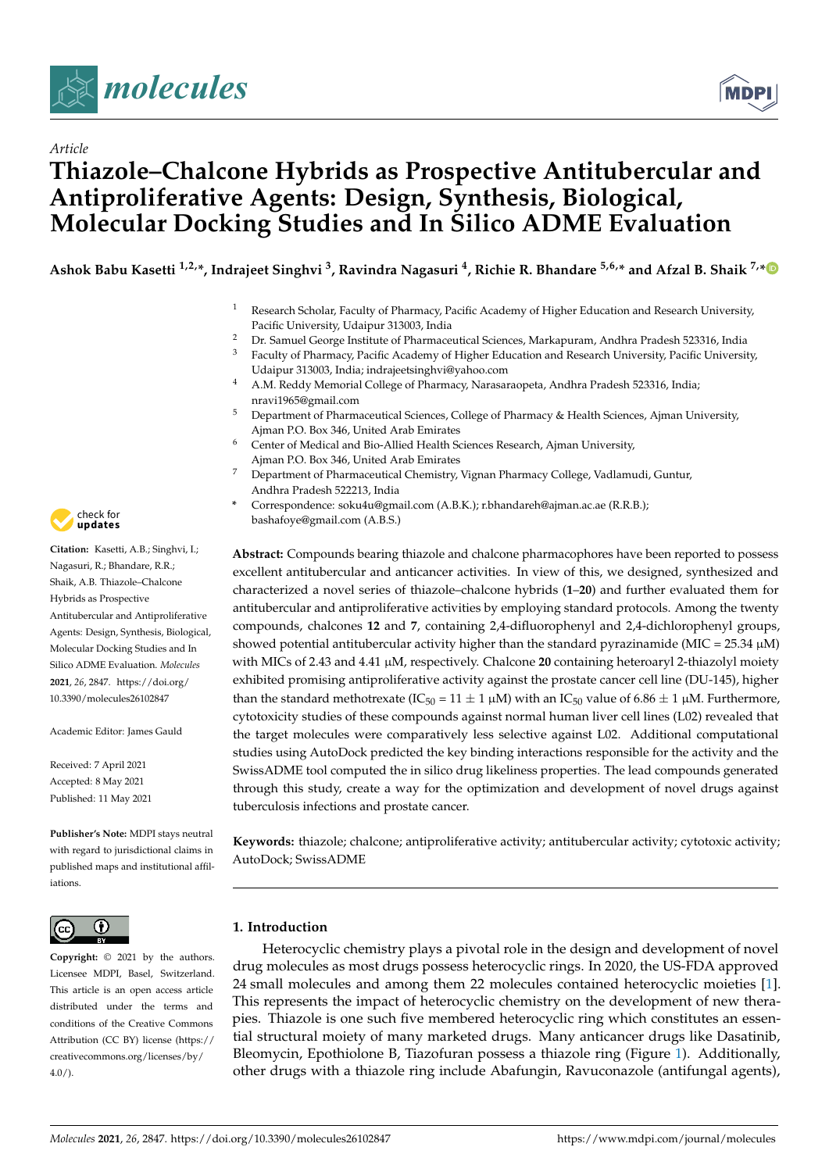



# *Article* **Thiazole–Chalcone Hybrids as Prospective Antitubercular and Antiproliferative Agents: Design, Synthesis, Biological, Molecular Docking Studies and In Silico ADME Evaluation**

Ashok Babu Kasetti <sup>1,2,</sup>\*, Indrajeet Singhvi <sup>3</sup>, Ravindra Nagasuri <sup>4</sup>, Richie R. Bhandare <sup>5,6,</sup>\* and Afzal B. Shaik <sup>7,</sup>\*

- <sup>1</sup> Research Scholar, Faculty of Pharmacy, Pacific Academy of Higher Education and Research University, Pacific University, Udaipur 313003, India
- <sup>2</sup> Dr. Samuel George Institute of Pharmaceutical Sciences, Markapuram, Andhra Pradesh 523316, India
- <sup>3</sup> Faculty of Pharmacy, Pacific Academy of Higher Education and Research University, Pacific University, Udaipur 313003, India; indrajeetsinghvi@yahoo.com
- <sup>4</sup> A.M. Reddy Memorial College of Pharmacy, Narasaraopeta, Andhra Pradesh 523316, India; nravi1965@gmail.com
- <sup>5</sup> Department of Pharmaceutical Sciences, College of Pharmacy & Health Sciences, Ajman University, Ajman P.O. Box 346, United Arab Emirates
- <sup>6</sup> Center of Medical and Bio-Allied Health Sciences Research, Ajman University, Ajman P.O. Box 346, United Arab Emirates
- <sup>7</sup> Department of Pharmaceutical Chemistry, Vignan Pharmacy College, Vadlamudi, Guntur, Andhra Pradesh 522213, India
- **\*** Correspondence: soku4u@gmail.com (A.B.K.); r.bhandareh@ajman.ac.ae (R.R.B.); bashafoye@gmail.com (A.B.S.)

**Abstract:** Compounds bearing thiazole and chalcone pharmacophores have been reported to possess excellent antitubercular and anticancer activities. In view of this, we designed, synthesized and characterized a novel series of thiazole–chalcone hybrids (**1**–**20**) and further evaluated them for antitubercular and antiproliferative activities by employing standard protocols. Among the twenty compounds, chalcones **12** and **7**, containing 2,4-difluorophenyl and 2,4-dichlorophenyl groups, showed potential antitubercular activity higher than the standard pyrazinamide (MIC =  $25.34 \mu M$ ) with MICs of 2.43 and 4.41 µM, respectively. Chalcone **20** containing heteroaryl 2-thiazolyl moiety exhibited promising antiproliferative activity against the prostate cancer cell line (DU-145), higher than the standard methotrexate (IC<sub>50</sub> = 11  $\pm$  1  $\mu$ M) with an IC<sub>50</sub> value of 6.86  $\pm$  1  $\mu$ M. Furthermore, cytotoxicity studies of these compounds against normal human liver cell lines (L02) revealed that the target molecules were comparatively less selective against L02. Additional computational studies using AutoDock predicted the key binding interactions responsible for the activity and the SwissADME tool computed the in silico drug likeliness properties. The lead compounds generated through this study, create a way for the optimization and development of novel drugs against tuberculosis infections and prostate cancer.

**Keywords:** thiazole; chalcone; antiproliferative activity; antitubercular activity; cytotoxic activity; AutoDock; SwissADME

# **1. Introduction**

Heterocyclic chemistry plays a pivotal role in the design and development of novel drug molecules as most drugs possess heterocyclic rings. In 2020, the US-FDA approved 24 small molecules and among them 22 molecules contained heterocyclic moieties [1]. This represents the impact of heterocyclic chemistry on the development of new therapies. Thiazole is one such five membered heterocyclic ring which constitutes an essential structural moiety of many marketed drugs. Many anticancer drugs like Dasatinib, Bleomycin, Epothiolone B, Tiazofuran possess a thiazole ring (Figure 1). Additionally, other drugs with a thiazole ring include Abafungin, Ravuconazole (antifungal agents),



**Citation:** Kasetti, A.B.; Singhvi, I.; Nagasuri, R.; Bhandare, R.R.; Shaik, A.B. Thiazole–Chalcone Hybrids as Prospective Antitubercular and Antiproliferative Agents: Design, Synthesis, Biological, Molecular Docking Studies and In Silico ADME Evaluation. *Molecules* **2021**, *26*, 2847. https://doi.org/ 10.3390/molecules26102847

Academic Editor: James Gauld

Received: 7 April 2021 Accepted: 8 May 2021 Published: 11 May 2021

**Publisher's Note:** MDPI stays neutral with regard to jurisdictional claims in published maps and institutional affiliations.



**Copyright:** © 2021 by the authors. Licensee MDPI, Basel, Switzerland. This article is an open access article distributed under the terms and conditions of the Creative Commons Attribution (CC BY) license (https:// creativecommons.org/licenses/by/ 4.0/).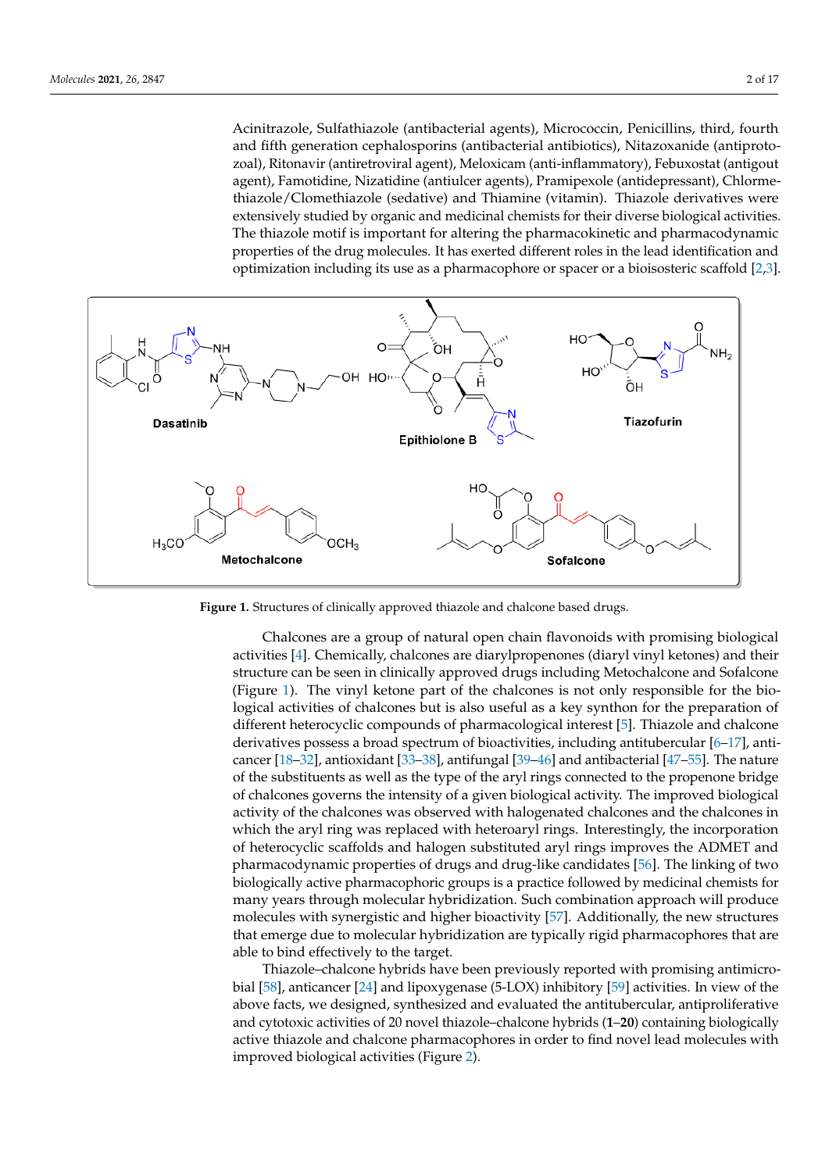Acinitrazole, Sulfathiazole (antibacterial agents), Micrococcin, Penicillins, third, fourth and fifth generation cephalosporins (antibacterial antibiotics), Nitazoxanide (antiprotozoal), Ritonavir (antiretroviral agent), Meloxicam (anti-inflammatory), Febuxostat (antigout agent), Famotidine, Nizatidine (antiulcer agents), Pramipexole (antidepressant), Chlormethiazole/Clomethiazole (sedative) and Thiamine (vitamin). Thiazole derivatives were extensively studied by organic and medicinal chemists for their diverse biological activities. The thiazole motif is important for altering the pharmacokinetic and pharmacodynamic properties of the drug molecules. It has exerted different roles in the lead identification and optimization including its use as a pharmacophore or spacer or a bioisosteric scaffold [2,3].



**Figure 1.** Structures of clinically approved thiazole and chalcone based drugs.

Chalcones are a group of natural open chain flavonoids with promising biological activities [4]. Chemically, chalcones are diarylpropenones (diaryl vinyl ketones) and their structure can be seen in clinically approved drugs including Metochalcone and Sofalcone (Figure 1). The vinyl ketone part of the chalcones is not only responsible for the biological activities of chalcones but is also useful as a key synthon for the preparation of different heterocyclic compounds of pharmacological interest [5]. Thiazole and chalcone derivatives possess a broad spectrum of bioactivities, including antitubercular [6–17], anticancer [18–32], antioxidant [33–38], antifungal [39–46] and antibacterial [47–55]. The nature of the substituents as well as the type of the aryl rings connected to the propenone bridge of chalcones governs the intensity of a given biological activity. The improved biological activity of the chalcones was observed with halogenated chalcones and the chalcones in which the aryl ring was replaced with heteroaryl rings. Interestingly, the incorporation of heterocyclic scaffolds and halogen substituted aryl rings improves the ADMET and pharmacodynamic properties of drugs and drug-like candidates [56]. The linking of two biologically active pharmacophoric groups is a practice followed by medicinal chemists for many years through molecular hybridization. Such combination approach will produce molecules with synergistic and higher bioactivity [57]. Additionally, the new structures that emerge due to molecular hybridization are typically rigid pharmacophores that are able to bind effectively to the target.

Thiazole–chalcone hybrids have been previously reported with promising antimicrobial [58], anticancer [24] and lipoxygenase (5-LOX) inhibitory [59] activities. In view of the above facts, we designed, synthesized and evaluated the antitubercular, antiproliferative and cytotoxic activities of 20 novel thiazole–chalcone hybrids (**1**–**20**) containing biologically active thiazole and chalcone pharmacophores in order to find novel lead molecules with improved biological activities (Figure 2).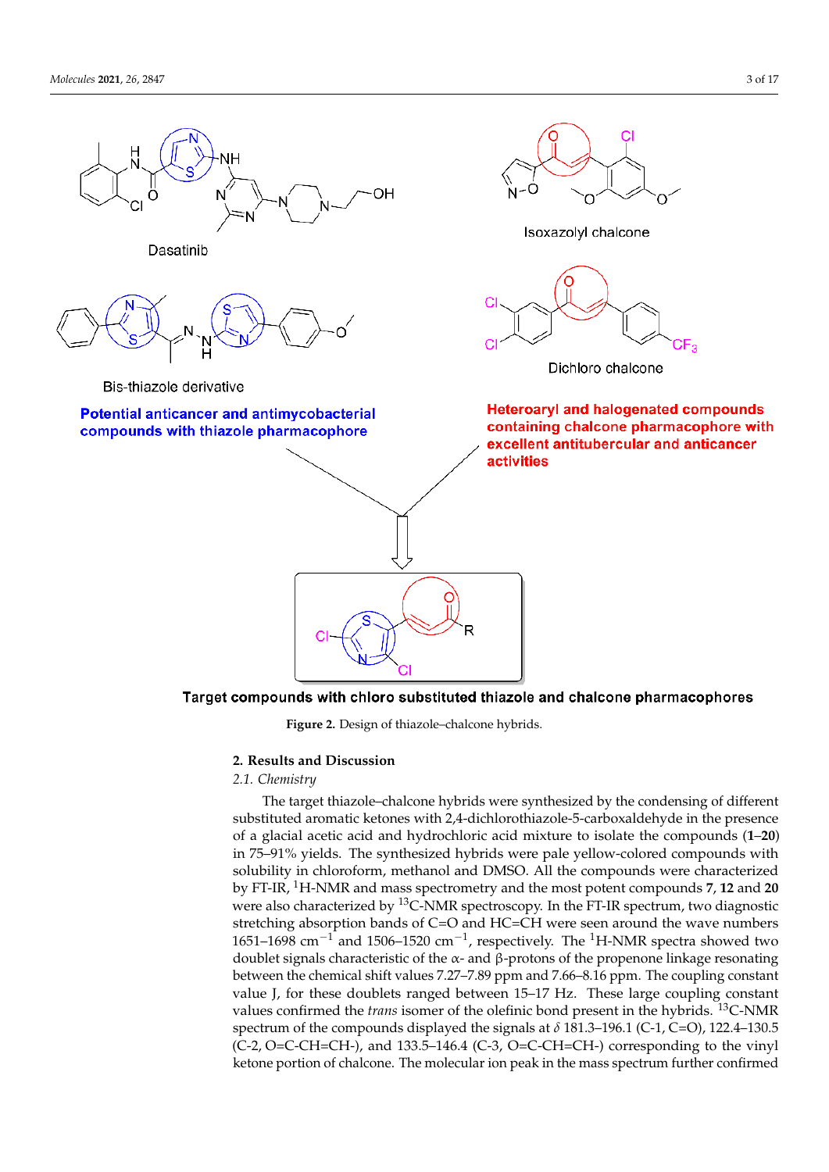

Target compounds with chloro substituted thiazole and chalcone pharmacophores

**Figure 2.** Design of thiazole–chalcone hybrids.

## **2. Results and Discussion**

# *2.1. Chemistry*

The target thiazole–chalcone hybrids were synthesized by the condensing of different substituted aromatic ketones with 2,4-dichlorothiazole-5-carboxaldehyde in the presence of a glacial acetic acid and hydrochloric acid mixture to isolate the compounds (**1**–**20**) in 75–91% yields. The synthesized hybrids were pale yellow-colored compounds with solubility in chloroform, methanol and DMSO. All the compounds were characterized by FT-IR, <sup>1</sup>H-NMR and mass spectrometry and the most potent compounds **7**, **12** and **20** were also characterized by  $^{13}$ C-NMR spectroscopy. In the FT-IR spectrum, two diagnostic stretching absorption bands of C=O and HC=CH were seen around the wave numbers 1651–1698 cm<sup>-1</sup> and 1506–1520 cm<sup>-1</sup>, respectively. The <sup>1</sup>H-NMR spectra showed two doublet signals characteristic of the  $α$ - and  $β$ -protons of the propenone linkage resonating between the chemical shift values 7.27–7.89 ppm and 7.66–8.16 ppm. The coupling constant value J, for these doublets ranged between 15–17 Hz. These large coupling constant values confirmed the *trans* isomer of the olefinic bond present in the hybrids. <sup>13</sup>C-NMR spectrum of the compounds displayed the signals at  $\delta$  181.3–196.1 (C-1, C=O), 122.4–130.5  $(C-2, O=C-CH=CH-),$  and 133.5–146.4  $(C-3, O=C-CH=CH-)$  corresponding to the vinyl ketone portion of chalcone. The molecular ion peak in the mass spectrum further confirmed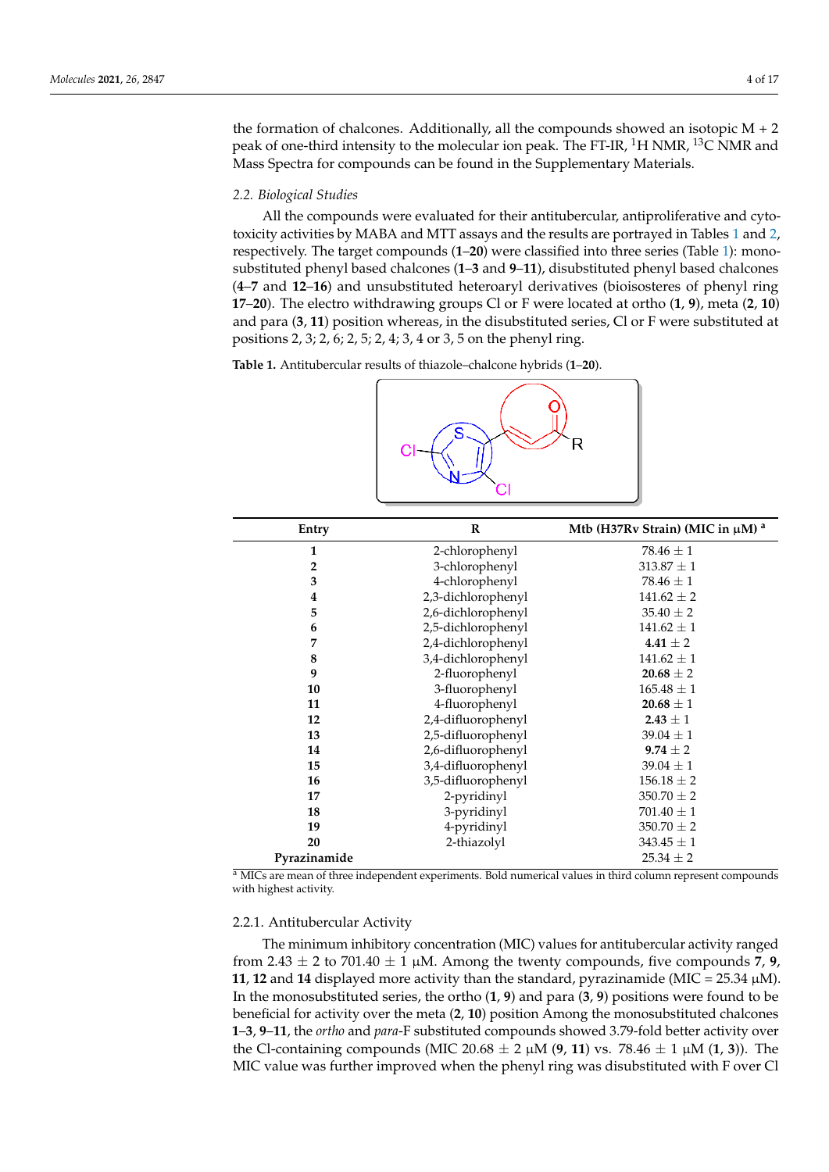the formation of chalcones. Additionally, all the compounds showed an isotopic  $M + 2$ peak of one-third intensity to the molecular ion peak. The FT-IR,  ${}^{1}$ H NMR,  ${}^{13}$ C NMR and Mass Spectra for compounds can be found in the Supplementary Materials.

### *2.2. Biological Studies*

All the compounds were evaluated for their antitubercular, antiproliferative and cytotoxicity activities by MABA and MTT assays and the results are portrayed in Tables 1 and 2, respectively. The target compounds (**1**–**20**) were classified into three series (Table 1): monosubstituted phenyl based chalcones (**1**–**3** and **9**–**11**), disubstituted phenyl based chalcones (**4**–**7** and **12**–**16**) and unsubstituted heteroaryl derivatives (bioisosteres of phenyl ring **17**–**20**). The electro withdrawing groups Cl or F were located at ortho (**1**, **9**), meta (**2**, **10**) and para (**3**, **11**) position whereas, in the disubstituted series, Cl or F were substituted at positions 2, 3; 2, 6; 2, 5; 2, 4; 3, 4 or 3, 5 on the phenyl ring.

**Table 1.** Antitubercular results of thiazole–chalcone hybrids (**1**–**20**).



| Entry          | $\bf{R}$           | Mtb (H37Rv Strain) (MIC in $\mu$ M) <sup>a</sup> |
|----------------|--------------------|--------------------------------------------------|
| 1              | 2-chlorophenyl     | $78.46 \pm 1$                                    |
| $\overline{2}$ | 3-chlorophenyl     | $313.87 \pm 1$                                   |
| 3              | 4-chlorophenyl     | $78.46 \pm 1$                                    |
| 4              | 2,3-dichlorophenyl | $141.62 \pm 2$                                   |
| 5              | 2,6-dichlorophenyl | $35.40 \pm 2$                                    |
| 6              | 2,5-dichlorophenyl | $141.62 \pm 1$                                   |
| 7              | 2,4-dichlorophenyl | 4.41 $\pm$ 2                                     |
| 8              | 3,4-dichlorophenyl | $141.62 \pm 1$                                   |
| 9              | 2-fluorophenyl     | $20.68 \pm 2$                                    |
| 10             | 3-fluorophenyl     | $165.48 \pm 1$                                   |
| 11             | 4-fluorophenyl     | $20.68 \pm 1$                                    |
| 12             | 2,4-difluorophenyl | $2.43 \pm 1$                                     |
| 13             | 2,5-difluorophenyl | $39.04 \pm 1$                                    |
| 14             | 2,6-difluorophenyl | $9.74 \pm 2$                                     |
| 15             | 3,4-difluorophenyl | $39.04 \pm 1$                                    |
| 16             | 3,5-difluorophenyl | $156.18 \pm 2$                                   |
| 17             | 2-pyridinyl        | $350.70 \pm 2$                                   |
| 18             | 3-pyridinyl        | $701.40 \pm 1$                                   |
| 19             | 4-pyridinyl        | $350.70 \pm 2$                                   |
| 20             | 2-thiazolyl        | $343.45 \pm 1$                                   |
| Pyrazinamide   |                    | $25.34 \pm 2$                                    |

<sup>a</sup> MICs are mean of three independent experiments. Bold numerical values in third column represent compounds with highest activity.

### 2.2.1. Antitubercular Activity

The minimum inhibitory concentration (MIC) values for antitubercular activity ranged from 2.43  $\pm$  2 to 701.40  $\pm$  1  $\mu$ M. Among the twenty compounds, five compounds 7, 9, **11, 12** and **14** displayed more activity than the standard, pyrazinamide (MIC =  $25.34 \mu M$ ). In the monosubstituted series, the ortho (**1**, **9**) and para (**3**, **9**) positions were found to be beneficial for activity over the meta (**2**, **10**) position Among the monosubstituted chalcones **1**–**3**, **9**–**11**, the *ortho* and *para*-F substituted compounds showed 3.79-fold better activity over the Cl-containing compounds (MIC 20.68  $\pm$  2  $\mu$ M (9, 11) vs. 78.46  $\pm$  1  $\mu$ M (1, 3)). The MIC value was further improved when the phenyl ring was disubstituted with F over Cl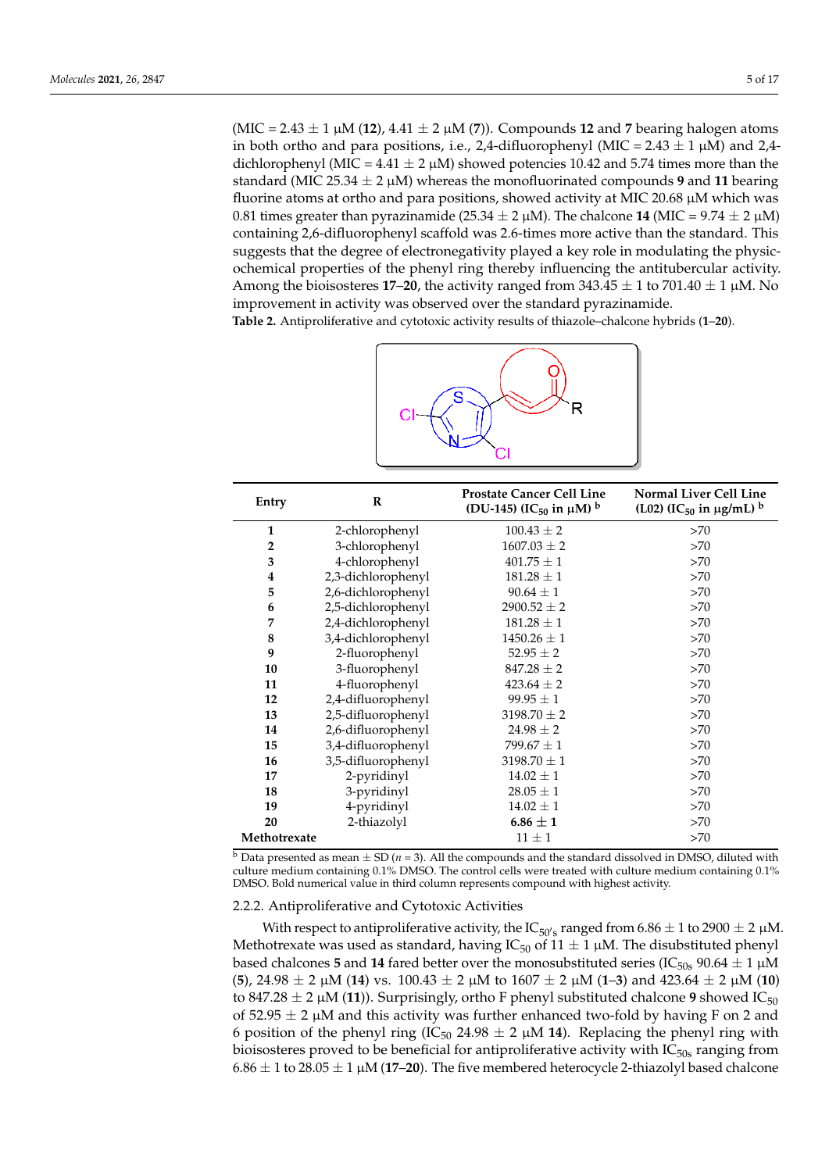(MIC = 2.43 ± 1 µM (**12**), 4.41 ± 2 µM (**7**)). Compounds **12** and **7** bearing halogen atoms in both ortho and para positions, i.e., 2,4-difluorophenyl (MIC = 2.43  $\pm$  1  $\mu$ M) and 2,4dichlorophenyl (MIC =  $4.41 \pm 2 \mu$ M) showed potencies 10.42 and 5.74 times more than the standard (MIC 25.34  $\pm$  2  $\mu$ M) whereas the monofluorinated compounds 9 and 11 bearing fluorine atoms at ortho and para positions, showed activity at MIC 20.68  $\mu$ M which was 0.81 times greater than pyrazinamide (25.34  $\pm$  2  $\mu$ M). The chalcone **14** (MIC = 9.74  $\pm$  2  $\mu$ M) containing 2,6-difluorophenyl scaffold was 2.6-times more active than the standard. This suggests that the degree of electronegativity played a key role in modulating the physicochemical properties of the phenyl ring thereby influencing the antitubercular activity. Among the bioisosteres **17–20**, the activity ranged from  $343.45 \pm 1$  to  $701.40 \pm 1$  µM. No improvement in activity was observed over the standard pyrazinamide.

**Table 2.** Antiproliferative and cytotoxic activity results of thiazole–chalcone hybrids (**1**–**20**).



| Entry            | $\mathbf{R}$       | <b>Prostate Cancer Cell Line</b><br>(DU-145) (IC <sub>50</sub> in $\mu$ M) <sup>b</sup> | <b>Normal Liver Cell Line</b><br>(L02) (IC <sub>50</sub> in $\mu$ g/mL) <sup>b</sup> |
|------------------|--------------------|-----------------------------------------------------------------------------------------|--------------------------------------------------------------------------------------|
| $\mathbf{1}$     | 2-chlorophenyl     | $100.43 \pm 2$                                                                          | >70                                                                                  |
| $\overline{2}$   | 3-chlorophenyl     | $1607.03 \pm 2$                                                                         | >70                                                                                  |
| 3                | 4-chlorophenyl     | $401.75 \pm 1$                                                                          | >70                                                                                  |
| $\boldsymbol{4}$ | 2,3-dichlorophenyl | $181.28 \pm 1$                                                                          | >70                                                                                  |
| 5                | 2,6-dichlorophenyl | $90.64 \pm 1$                                                                           | >70                                                                                  |
| 6                | 2,5-dichlorophenyl | $2900.52 \pm 2$                                                                         | >70                                                                                  |
| 7                | 2,4-dichlorophenyl | $181.28 \pm 1$                                                                          | >70                                                                                  |
| 8                | 3,4-dichlorophenyl | $1450.26 \pm 1$                                                                         | >70                                                                                  |
| 9                | 2-fluorophenyl     | $52.95 \pm 2$                                                                           | >70                                                                                  |
| 10               | 3-fluorophenyl     | $847.28 \pm 2$                                                                          | >70                                                                                  |
| 11               | 4-fluorophenyl     | $423.64 \pm 2$                                                                          | >70                                                                                  |
| 12               | 2,4-difluorophenyl | $99.95 \pm 1$                                                                           | >70                                                                                  |
| 13               | 2,5-difluorophenyl | 3198.70 $\pm$ 2                                                                         | >70                                                                                  |
| 14               | 2,6-difluorophenyl | $24.98 \pm 2$                                                                           | >70                                                                                  |
| 15               | 3,4-difluorophenyl | $799.67 \pm 1$                                                                          | >70                                                                                  |
| 16               | 3,5-difluorophenyl | 3198.70 $\pm$ 1                                                                         | >70                                                                                  |
| 17               | 2-pyridinyl        | $14.02 \pm 1$                                                                           | >70                                                                                  |
| 18               | 3-pyridinyl        | $28.05 \pm 1$                                                                           | >70                                                                                  |
| 19               | 4-pyridinyl        | $14.02 \pm 1$                                                                           | >70                                                                                  |
| 20               | 2-thiazolyl        | $6.86 \pm 1$                                                                            | >70                                                                                  |
| Methotrexate     |                    | $11 \pm 1$                                                                              | >70                                                                                  |

 $\overline{b}$  Data presented as mean  $\pm$  SD (*n* = 3). All the compounds and the standard dissolved in DMSO, diluted with culture medium containing 0.1% DMSO. The control cells were treated with culture medium containing 0.1% DMSO. Bold numerical value in third column represents compound with highest activity.

## 2.2.2. Antiproliferative and Cytotoxic Activities

With respect to antiproliferative activity, the  $\mathop{\rm IC}\nolimits_{50' s}$  ranged from 6.86  $\pm$  1 to 2900  $\pm$  2  $\mu$ M. Methotrexate was used as standard, having IC<sub>50</sub> of 11  $\pm$  1 µM. The disubstituted phenyl based chalcones 5 and 14 fared better over the monosubstituted series (IC<sub>50s</sub> 90.64  $\pm$  1  $\mu$ M (**5**), 24.98 ± 2 µM (**14**) vs. 100.43 ± 2 µM to 1607 ± 2 µM (**1**–**3**) and 423.64 ± 2 µM (**10**) to 847.28  $\pm$  2  $\mu$ M (11)). Surprisingly, ortho F phenyl substituted chalcone 9 showed IC<sub>50</sub> of  $52.95 \pm 2 \mu M$  and this activity was further enhanced two-fold by having F on 2 and 6 position of the phenyl ring (IC<sub>50</sub> 24.98  $\pm$  2  $\mu$ M 14). Replacing the phenyl ring with bioisosteres proved to be beneficial for antiproliferative activity with  $IC_{50s}$  ranging from  $6.86 \pm 1$  to  $28.05 \pm 1$   $\mu$ M (17–20). The five membered heterocycle 2-thiazolyl based chalcone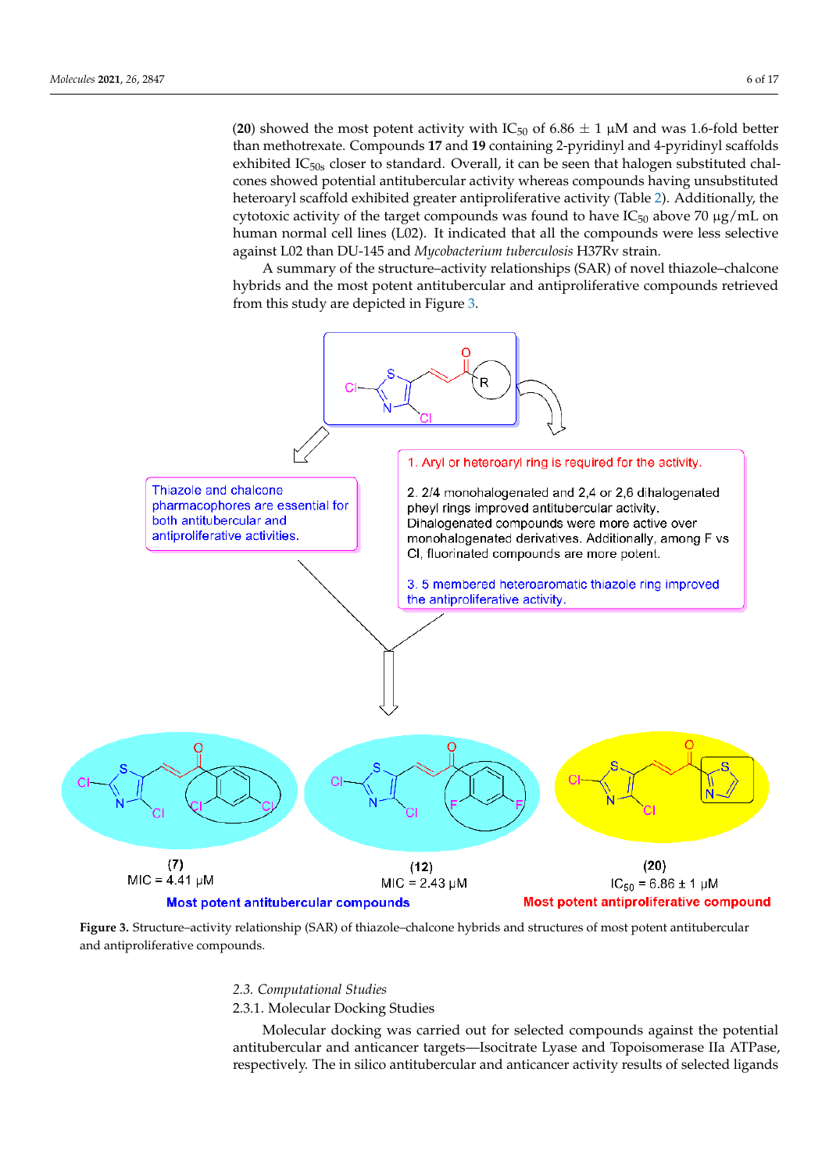(20) showed the most potent activity with  $IC_{50}$  of 6.86  $\pm$  1  $\mu$ M and was 1.6-fold better than methotrexate. Compounds **17** and **19** containing 2-pyridinyl and 4-pyridinyl scaffolds exhibited  $IC<sub>50s</sub>$  closer to standard. Overall, it can be seen that halogen substituted chalcones showed potential antitubercular activity whereas compounds having unsubstituted heteroaryl scaffold exhibited greater antiproliferative activity (Table 2). Additionally, the cytotoxic activity of the target compounds was found to have  $IC_{50}$  above 70  $\mu$ g/mL on human normal cell lines (L02). It indicated that all the compounds were less selective against L02 than DU-145 and *Mycobacterium tuberculosis* H37Rv strain.

A summary of the structure–activity relationships (SAR) of novel thiazole–chalcone hybrids and the most potent antitubercular and antiproliferative compounds retrieved from this study are depicted in Figure 3.



**Figure 3.** Structure–activity relationship (SAR) of thiazole–chalcone hybrids and structures of most potent antitubercular and antiproliferative compounds.

## *2.3. Computational Studies*

2.3.1. Molecular Docking Studies

Molecular docking was carried out for selected compounds against the potential antitubercular and anticancer targets—Isocitrate Lyase and Topoisomerase IIa ATPase, respectively. The in silico antitubercular and anticancer activity results of selected ligands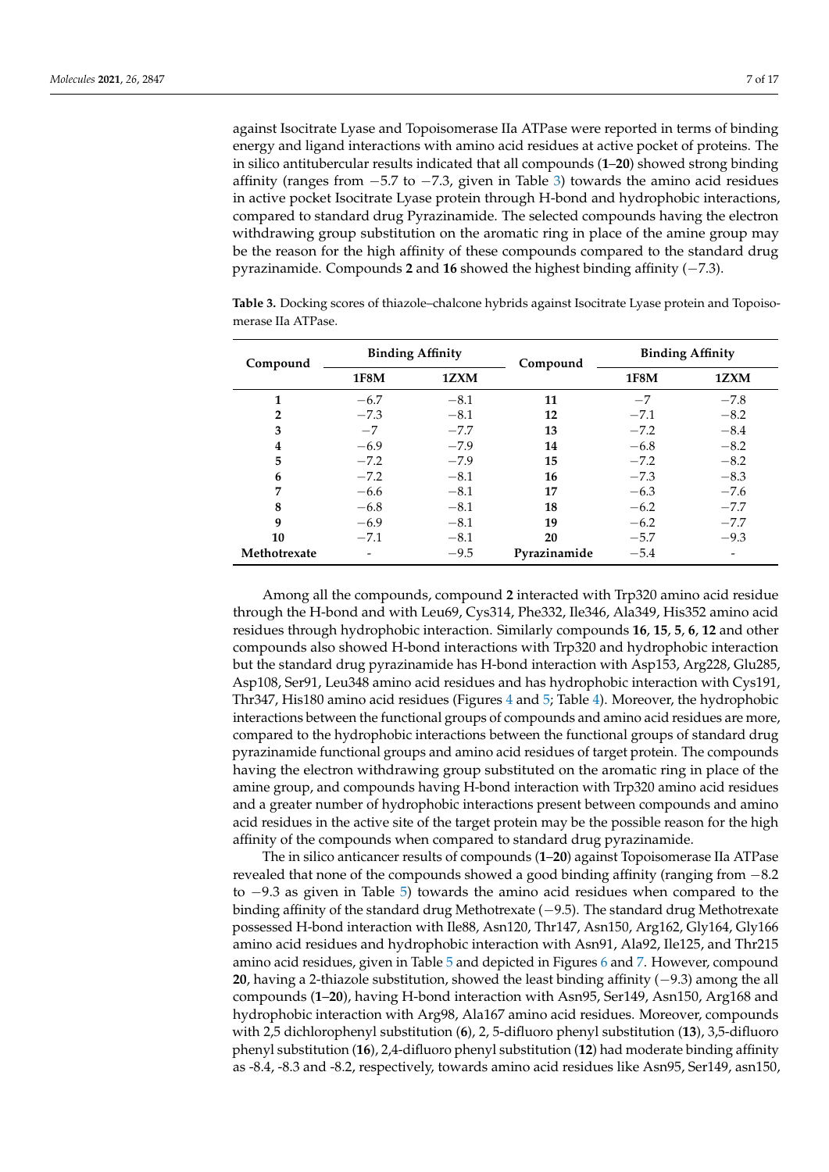against Isocitrate Lyase and Topoisomerase IIa ATPase were reported in terms of binding energy and ligand interactions with amino acid residues at active pocket of proteins. The in silico antitubercular results indicated that all compounds (**1**–**20**) showed strong binding affinity (ranges from −5.7 to −7.3, given in Table 3) towards the amino acid residues in active pocket Isocitrate Lyase protein through H-bond and hydrophobic interactions, compared to standard drug Pyrazinamide. The selected compounds having the electron withdrawing group substitution on the aromatic ring in place of the amine group may be the reason for the high affinity of these compounds compared to the standard drug pyrazinamide. Compounds **2** and **16** showed the highest binding affinity (−7.3).

| Compound       | <b>Binding Affinity</b> |        | Compound     | <b>Binding Affinity</b> |                          |
|----------------|-------------------------|--------|--------------|-------------------------|--------------------------|
|                | 1F8M                    | 1ZXM   |              | 1F8M                    | 1ZXM                     |
| 1              | $-6.7$                  | $-8.1$ | 11           | $-7$                    | $-7.8$                   |
| $\overline{2}$ | $-7.3$                  | $-8.1$ | 12           | $-7.1$                  | $-8.2$                   |
| 3              | $-7$                    | $-7.7$ | 13           | $-7.2$                  | $-8.4$                   |
| 4              | $-6.9$                  | $-7.9$ | 14           | $-6.8$                  | $-8.2$                   |
| 5              | $-7.2$                  | $-7.9$ | 15           | $-7.2$                  | $-8.2$                   |
| 6              | $-7.2$                  | $-8.1$ | 16           | $-7.3$                  | $-8.3$                   |
| 7              | $-6.6$                  | $-8.1$ | 17           | $-6.3$                  | $-7.6$                   |
| 8              | $-6.8$                  | $-8.1$ | 18           | $-6.2$                  | $-7.7$                   |
| 9              | $-6.9$                  | $-8.1$ | 19           | $-6.2$                  | $-7.7$                   |
| 10             | $-7.1$                  | $-8.1$ | 20           | $-5.7$                  | $-9.3$                   |
| Methotrexate   |                         | $-9.5$ | Pyrazinamide | $-5.4$                  | $\overline{\phantom{0}}$ |

**Table 3.** Docking scores of thiazole–chalcone hybrids against Isocitrate Lyase protein and Topoisomerase IIa ATPase.

Among all the compounds, compound **2** interacted with Trp320 amino acid residue through the H-bond and with Leu69, Cys314, Phe332, Ile346, Ala349, His352 amino acid residues through hydrophobic interaction. Similarly compounds **16**, **15**, **5**, **6**, **12** and other compounds also showed H-bond interactions with Trp320 and hydrophobic interaction but the standard drug pyrazinamide has H-bond interaction with Asp153, Arg228, Glu285, Asp108, Ser91, Leu348 amino acid residues and has hydrophobic interaction with Cys191, Thr347, His180 amino acid residues (Figures 4 and 5; Table 4). Moreover, the hydrophobic interactions between the functional groups of compounds and amino acid residues are more, compared to the hydrophobic interactions between the functional groups of standard drug pyrazinamide functional groups and amino acid residues of target protein. The compounds having the electron withdrawing group substituted on the aromatic ring in place of the amine group, and compounds having H-bond interaction with Trp320 amino acid residues and a greater number of hydrophobic interactions present between compounds and amino acid residues in the active site of the target protein may be the possible reason for the high affinity of the compounds when compared to standard drug pyrazinamide.

The in silico anticancer results of compounds (**1**–**20**) against Topoisomerase IIa ATPase revealed that none of the compounds showed a good binding affinity (ranging from −8.2 to −9.3 as given in Table 5) towards the amino acid residues when compared to the binding affinity of the standard drug Methotrexate (−9.5). The standard drug Methotrexate possessed H-bond interaction with Ile88, Asn120, Thr147, Asn150, Arg162, Gly164, Gly166 amino acid residues and hydrophobic interaction with Asn91, Ala92, Ile125, and Thr215 amino acid residues, given in Table 5 and depicted in Figures 6 and 7. However, compound **20**, having a 2-thiazole substitution, showed the least binding affinity (−9.3) among the all compounds (**1**–**20**), having H-bond interaction with Asn95, Ser149, Asn150, Arg168 and hydrophobic interaction with Arg98, Ala167 amino acid residues. Moreover, compounds with 2,5 dichlorophenyl substitution (**6**), 2, 5-difluoro phenyl substitution (**13**), 3,5-difluoro phenyl substitution (**16**), 2,4-difluoro phenyl substitution (**12**) had moderate binding affinity as -8.4, -8.3 and -8.2, respectively, towards amino acid residues like Asn95, Ser149, asn150,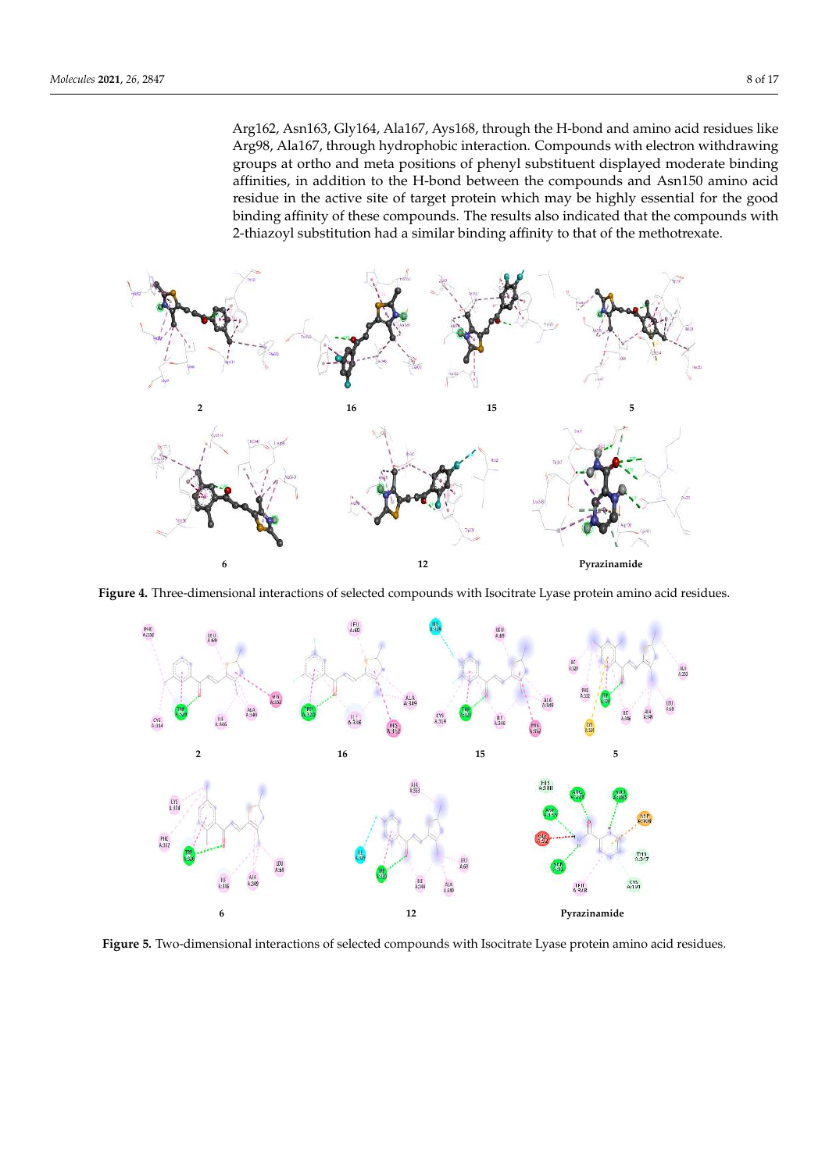Arg162, Asn163, Gly164, Ala167, Ays168, through the H-bond and amino acid residues like Arg98, Ala167, through hydrophobic interaction. Compounds with electron withdrawing groups at ortho and meta positions of phenyl substituent displayed moderate binding affinities, in addition to the H-bond between the compounds and Asn150 amino acid residue in the active site of target protein which may be highly essential for the good binding affinity of these compounds. The results also indicated that the compounds with 2-thiazoyl substitution had a similar binding affinity to that of the methotrexate.



**Figure 4.** Three-dimensional interactions of selected compounds with Isocitrate Lyase protein amino acid residues.



**Figure 5.** Two-dimensional interactions of selected compounds with Isocitrate Lyase protein amino acid residues.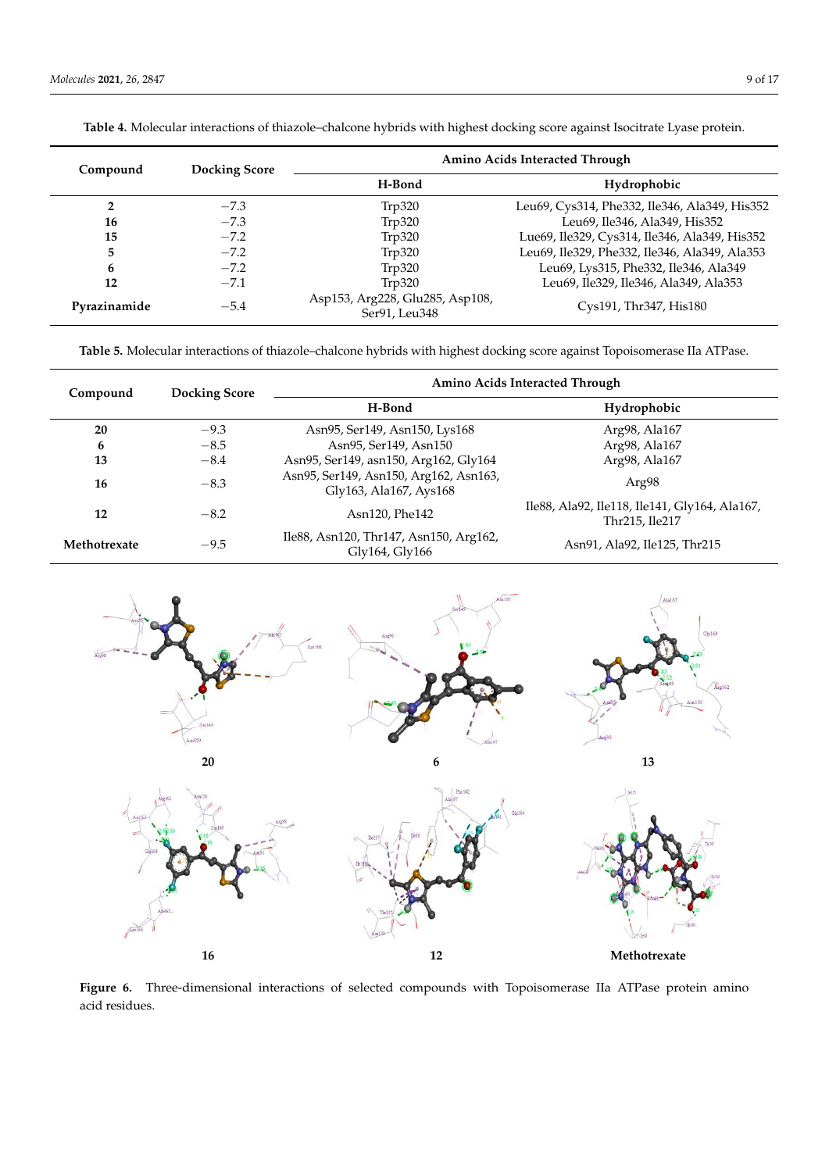| Compound     | <b>Docking Score</b> | Amino Acids Interacted Through                   |                                               |  |
|--------------|----------------------|--------------------------------------------------|-----------------------------------------------|--|
|              |                      | H-Bond                                           | Hydrophobic                                   |  |
| $\mathbf{2}$ | $-7.3$               | Tip320                                           | Leu69, Cys314, Phe332, Ile346, Ala349, His352 |  |
| 16           | $-7.3$               | Trp320                                           | Leu69, Ile346, Ala349, His352                 |  |
| 15           | $-7.2$               | Trp320                                           | Lue69, Ile329, Cys314, Ile346, Ala349, His352 |  |
| 5            | $-7.2$               | Tip320                                           | Leu69, Ile329, Phe332, Ile346, Ala349, Ala353 |  |
| 6            | $-7.2$               | Trp320                                           | Leu69, Lys315, Phe332, Ile346, Ala349         |  |
| 12           | $-7.1$               | Tip320                                           | Leu69, Ile329, Ile346, Ala349, Ala353         |  |
| Pyrazinamide | $-5.4$               | Asp153, Arg228, Glu285, Asp108,<br>Ser91, Leu348 | Cys191, Thr347, His180                        |  |

**Table 4.** Molecular interactions of thiazole–chalcone hybrids with highest docking score against Isocitrate Lyase protein.

**Table 5.** Molecular interactions of thiazole–chalcone hybrids with highest docking score against Topoisomerase IIa ATPase.

| Compound     | <b>Docking Score</b> | Amino Acids Interacted Through                                   |                                                                 |  |
|--------------|----------------------|------------------------------------------------------------------|-----------------------------------------------------------------|--|
|              |                      | H-Bond                                                           | Hydrophobic                                                     |  |
| 20           | $-9.3$               | Asn95, Ser149, Asn150, Lys168                                    | Arg98, Ala167                                                   |  |
| 6            | $-8.5$               | Asn95, Ser149, Asn150                                            | Arg98, Ala167                                                   |  |
| 13           | $-8.4$               | Asn95, Ser149, asn150, Arg162, Gly164                            | Arg98, Ala167                                                   |  |
| 16           | $-8.3$               | Asn95, Ser149, Asn150, Arg162, Asn163,<br>Gly163, Ala167, Ays168 | Arg98                                                           |  |
| 12           | $-8.2$               | Asn120, Phe142                                                   | Ile88, Ala92, Ile118, Ile141, Gly164, Ala167,<br>Thr215, Ile217 |  |
| Methotrexate | $-9.5$               | Ile88, Asn120, Thr147, Asn150, Arg162,<br>Gly164, Gly166         | Asn91, Ala92, Ile125, Thr215                                    |  |



Figure 6. Three-dimensional interactions of selected compounds with Topoisomerase IIa ATPase protein amino acid residues.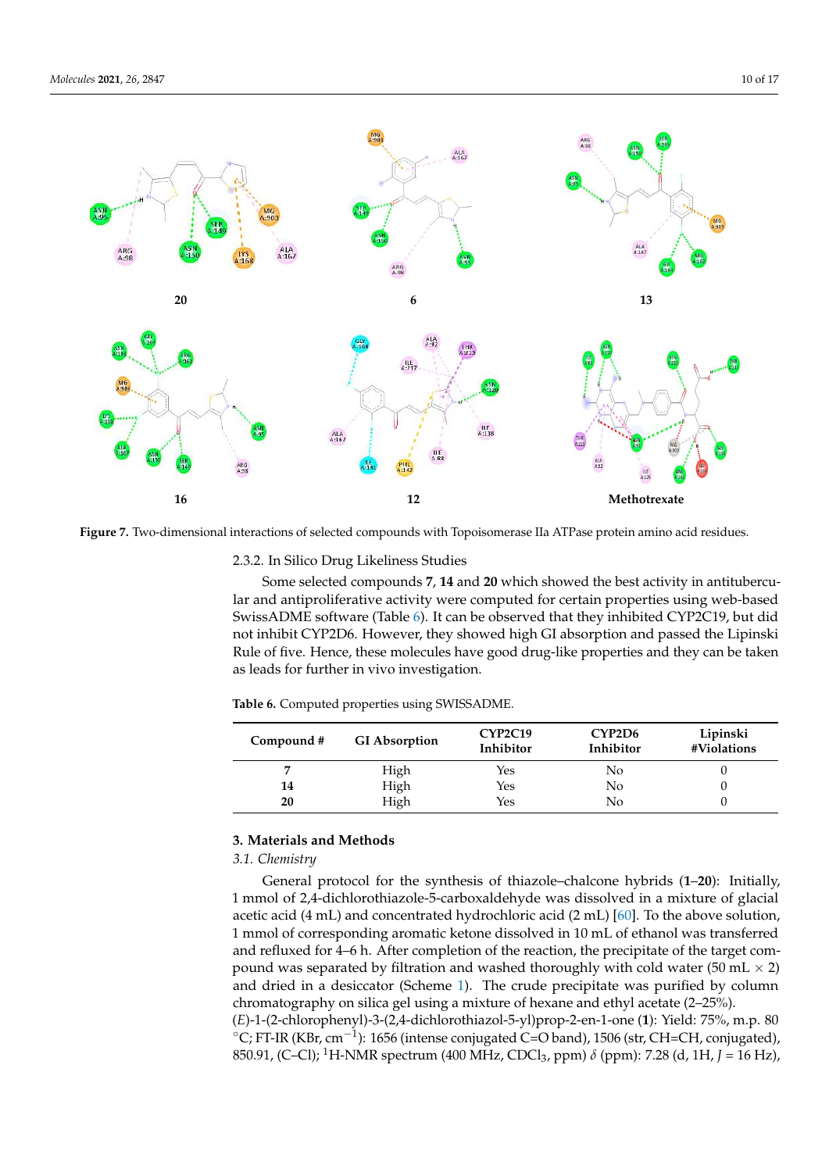

**Figure 7.** Two-dimensional interactions of selected compounds with Topoisomerase IIa ATPase protein amino acid residues.

2.3.2. In Silico Drug Likeliness Studies

Some selected compounds **7**, **14** and **20** which showed the best activity in antitubercular and antiproliferative activity were computed for certain properties using web-based SwissADME software (Table 6). It can be observed that they inhibited CYP2C19, but did not inhibit CYP2D6. However, they showed high GI absorption and passed the Lipinski Rule of five. Hence, these molecules have good drug-like properties and they can be taken as leads for further in vivo investigation.

**Table 6.** Computed properties using SWISSADME.

| Compound # | <b>GI</b> Absorption | CYP2C19<br>Inhibitor | CYP <sub>2</sub> D <sub>6</sub><br>Inhibitor | Lipinski<br>#Violations |
|------------|----------------------|----------------------|----------------------------------------------|-------------------------|
|            | High                 | Yes                  | No                                           |                         |
| 14         | High                 | Yes                  | No                                           |                         |
| 20         | High                 | Yes                  | Nο                                           |                         |

## **3. Materials and Methods**

# *3.1. Chemistry*

General protocol for the synthesis of thiazole–chalcone hybrids (**1**–**20**): Initially, 1 mmol of 2,4-dichlorothiazole-5-carboxaldehyde was dissolved in a mixture of glacial acetic acid (4 mL) and concentrated hydrochloric acid (2 mL) [60]. To the above solution, 1 mmol of corresponding aromatic ketone dissolved in 10 mL of ethanol was transferred and refluxed for 4–6 h. After completion of the reaction, the precipitate of the target compound was separated by filtration and washed thoroughly with cold water (50 mL  $\times$  2) and dried in a desiccator (Scheme 1). The crude precipitate was purified by column chromatography on silica gel using a mixture of hexane and ethyl acetate (2–25%). (*E*)-1-(2-chlorophenyl)-3-(2,4-dichlorothiazol-5-yl)prop-2-en-1-one (**1**): Yield: 75%, m.p. 80 ◦C; FT-IR (KBr, cm−<sup>1</sup> ): 1656 (intense conjugated C=O band), 1506 (str, CH=CH, conjugated), 850.91, (C–Cl); <sup>1</sup>H-NMR spectrum (400 MHz, CDCl3, ppm) *δ* (ppm): 7.28 (d, 1H, *J* = 16 Hz),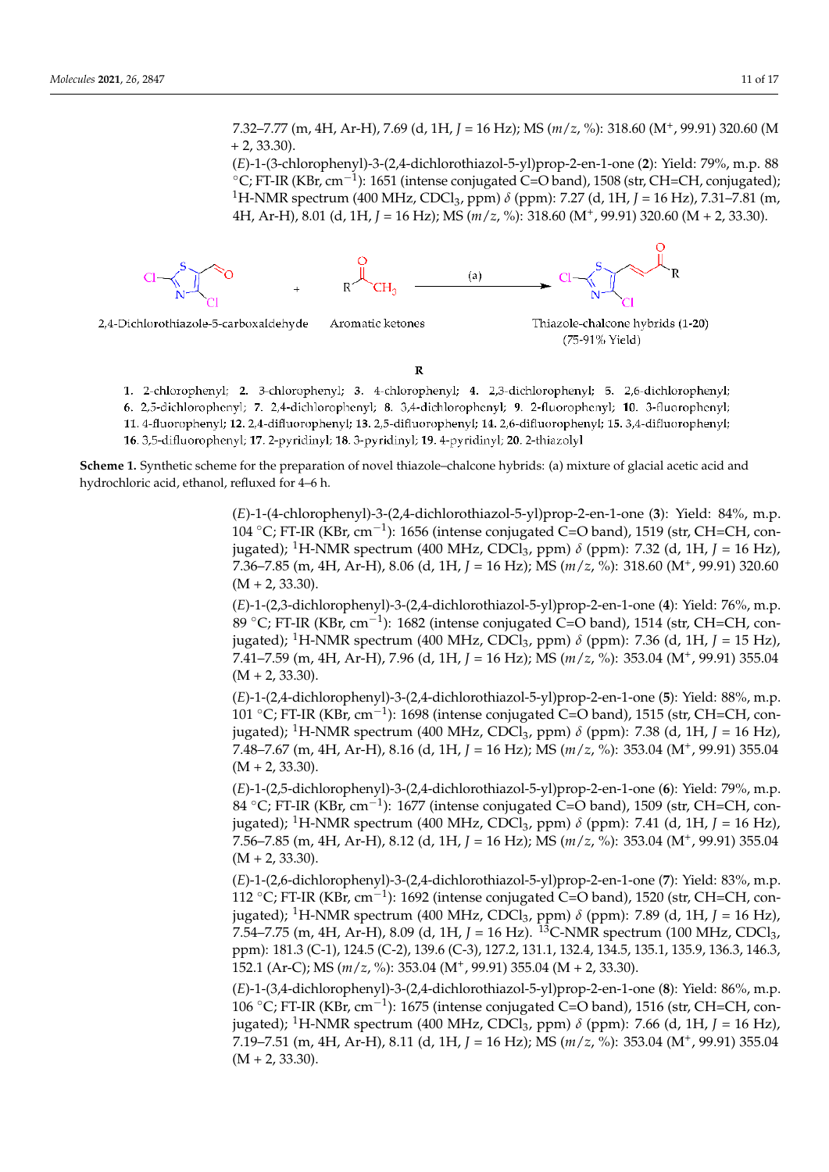7.32–7.77 (m, 4H, Ar-H), 7.69 (d, 1H, *J* = 16 Hz); MS (*m*/*z*, %): 318.60 (M<sup>+</sup> , 99.91) 320.60 (M  $+ 2, 33.30$ ).

(*E*)-1-(3-chlorophenyl)-3-(2,4-dichlorothiazol-5-yl)prop-2-en-1-one (**2**): Yield: 79%, m.p. 88 ◦C; FT-IR (KBr, cm−<sup>1</sup> ): 1651 (intense conjugated C=O band), 1508 (str, CH=CH, conjugated); <sup>1</sup>H-NMR spectrum (400 MHz, CDCl3, ppm) *δ* (ppm): 7.27 (d, 1H, *J* = 16 Hz), 7.31–7.81 (m, 4H, Ar-H), 8.01 (d, 1H, *J* = 16 Hz); MS (*m*/*z*, %): 318.60 (M<sup>+</sup> , 99.91) 320.60 (M + 2, 33.30).



2,4-Dichlorothiazole-5-carboxaldehyde

Aromatic ketones



R

1. 2-chlorophenyl; 2. 3-chlorophenyl; 3. 4-chlorophenyl; 4. 2,3-dichlorophenyl; 5. 2,6-dichlorophenyl; 6. 2,5-dichlorophenyl; 7. 2,4-dichlorophenyl; 8. 3,4-dichlorophenyl; 9. 2-fluorophenyl; 10. 3-fluorophenyl;

11. 4-fluorophenyl; 12. 2,4-difluorophenyl; 13. 2,5-difluorophenyl; 14. 2,6-difluorophenyl; 15. 3,4-difluorophenyl;

16. 3,5-difluorophenyl; 17. 2-pyridinyl; 18. 3-pyridinyl; 19. 4-pyridinyl; 20. 2-thiazolyl

**Scheme 1.** Synthetic scheme for the preparation of novel thiazole–chalcone hybrids: (a) mixture of glacial acetic acid and hydrochloric acid, ethanol, refluxed for 4–6 h.

> (*E*)-1-(4-chlorophenyl)-3-(2,4-dichlorothiazol-5-yl)prop-2-en-1-one (**3**): Yield: 84%, m.p. 104 ◦C; FT-IR (KBr, cm−<sup>1</sup> ): 1656 (intense conjugated C=O band), 1519 (str, CH=CH, conjugated); <sup>1</sup>H-NMR spectrum (400 MHz, CDCl<sub>3</sub>, ppm)  $\delta$  (ppm): 7.32 (d, 1H, *J* = 16 Hz), 7.36–7.85 (m, 4H, Ar-H), 8.06 (d, 1H, *J* = 16 Hz); MS (*m*/*z*, %): 318.60 (M<sup>+</sup> , 99.91) 320.60  $(M + 2, 33.30)$ .

> (*E*)-1-(2,3-dichlorophenyl)-3-(2,4-dichlorothiazol-5-yl)prop-2-en-1-one (**4**): Yield: 76%, m.p. 89 ◦C; FT-IR (KBr, cm−<sup>1</sup> ): 1682 (intense conjugated C=O band), 1514 (str, CH=CH, conjugated); <sup>1</sup>H-NMR spectrum (400 MHz, CDCl<sub>3</sub>, ppm)  $\delta$  (ppm): 7.36 (d, 1H, *J* = 15 Hz), 7.41–7.59 (m, 4H, Ar-H), 7.96 (d, 1H, *J* = 16 Hz); MS (*m*/*z*, %): 353.04 (M<sup>+</sup> , 99.91) 355.04  $(M + 2, 33.30).$

> (*E*)-1-(2,4-dichlorophenyl)-3-(2,4-dichlorothiazol-5-yl)prop-2-en-1-one (**5**): Yield: 88%, m.p. 101 ◦C; FT-IR (KBr, cm−<sup>1</sup> ): 1698 (intense conjugated C=O band), 1515 (str, CH=CH, conjugated); <sup>1</sup>H-NMR spectrum (400 MHz, CDCl<sub>3</sub>, ppm)  $\delta$  (ppm): 7.38 (d, 1H, *J* = 16 Hz), 7.48–7.67 (m, 4H, Ar-H), 8.16 (d, 1H, *J* = 16 Hz); MS (*m*/*z*, %): 353.04 (M<sup>+</sup> , 99.91) 355.04  $(M + 2, 33.30).$

> (*E*)-1-(2,5-dichlorophenyl)-3-(2,4-dichlorothiazol-5-yl)prop-2-en-1-one (**6**): Yield: 79%, m.p. 84 ◦C; FT-IR (KBr, cm−<sup>1</sup> ): 1677 (intense conjugated C=O band), 1509 (str, CH=CH, con $j$ ugated); <sup>1</sup>H-NMR spectrum (400 MHz, CDCl<sub>3</sub>, ppm)  $\delta$  (ppm): 7.41 (d, 1H, *J* = 16 Hz), 7.56–7.85 (m, 4H, Ar-H), 8.12 (d, 1H, *J* = 16 Hz); MS (*m*/*z*, %): 353.04 (M<sup>+</sup> , 99.91) 355.04  $(M + 2, 33.30).$

> (*E*)-1-(2,6-dichlorophenyl)-3-(2,4-dichlorothiazol-5-yl)prop-2-en-1-one (**7**): Yield: 83%, m.p. 112 ◦C; FT-IR (KBr, cm−<sup>1</sup> ): 1692 (intense conjugated C=O band), 1520 (str, CH=CH, conjugated); <sup>1</sup>H-NMR spectrum (400 MHz, CDCl3, ppm) *δ* (ppm): 7.89 (d, 1H, *J* = 16 Hz), 7.54–7.75 (m, 4H, Ar-H), 8.09 (d, 1H,  $J = 16$  Hz). <sup>13</sup>C-NMR spectrum (100 MHz, CDCl<sub>3</sub>, ppm): 181.3 (C-1), 124.5 (C-2), 139.6 (C-3), 127.2, 131.1, 132.4, 134.5, 135.1, 135.9, 136.3, 146.3, 152.1 (Ar-C); MS (*m*/*z*, %): 353.04 (M<sup>+</sup> , 99.91) 355.04 (M + 2, 33.30).

> (*E*)-1-(3,4-dichlorophenyl)-3-(2,4-dichlorothiazol-5-yl)prop-2-en-1-one (**8**): Yield: 86%, m.p. 106 ◦C; FT-IR (KBr, cm−<sup>1</sup> ): 1675 (intense conjugated C=O band), 1516 (str, CH=CH, conjugated); <sup>1</sup>H-NMR spectrum (400 MHz, CDCl3, ppm) *δ* (ppm): 7.66 (d, 1H, *J* = 16 Hz), 7.19–7.51 (m, 4H, Ar-H), 8.11 (d, 1H, *J* = 16 Hz); MS (*m*/*z*, %): 353.04 (M<sup>+</sup> , 99.91) 355.04  $(M + 2, 33.30).$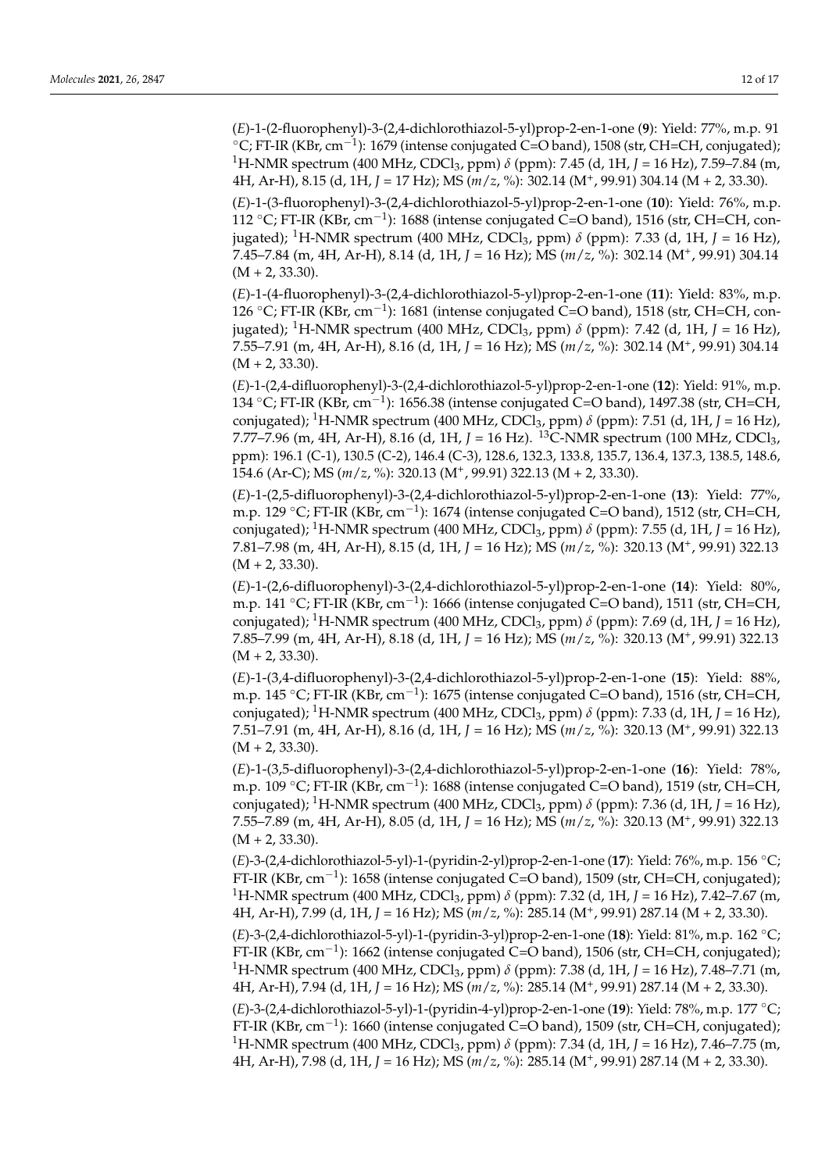(*E*)-1-(2-fluorophenyl)-3-(2,4-dichlorothiazol-5-yl)prop-2-en-1-one (**9**): Yield: 77%, m.p. 91 ◦C; FT-IR (KBr, cm−<sup>1</sup> ): 1679 (intense conjugated C=O band), 1508 (str, CH=CH, conjugated); <sup>1</sup>H-NMR spectrum (400 MHz, CDCl3, ppm) *δ* (ppm): 7.45 (d, 1H, *J* = 16 Hz), 7.59–7.84 (m, 4H, Ar-H), 8.15 (d, 1H, *J* = 17 Hz); MS (*m*/*z*, %): 302.14 (M<sup>+</sup> , 99.91) 304.14 (M + 2, 33.30).

(*E*)-1-(3-fluorophenyl)-3-(2,4-dichlorothiazol-5-yl)prop-2-en-1-one (**10**): Yield: 76%, m.p. 112 ◦C; FT-IR (KBr, cm−<sup>1</sup> ): 1688 (intense conjugated C=O band), 1516 (str, CH=CH, conjugated); <sup>1</sup>H-NMR spectrum (400 MHz, CDCl3, ppm) *δ* (ppm): 7.33 (d, 1H, *J* = 16 Hz), 7.45–7.84 (m, 4H, Ar-H), 8.14 (d, 1H, *J* = 16 Hz); MS (*m*/*z*, %): 302.14 (M<sup>+</sup> , 99.91) 304.14  $(M + 2, 33.30).$ 

(*E*)-1-(4-fluorophenyl)-3-(2,4-dichlorothiazol-5-yl)prop-2-en-1-one (**11**): Yield: 83%, m.p. 126 ◦C; FT-IR (KBr, cm−<sup>1</sup> ): 1681 (intense conjugated C=O band), 1518 (str, CH=CH, conjugated); <sup>1</sup>H-NMR spectrum (400 MHz, CDCl<sub>3</sub>, ppm)  $\delta$  (ppm): 7.42 (d, 1H, *J* = 16 Hz), 7.55–7.91 (m, 4H, Ar-H), 8.16 (d, 1H, *J* = 16 Hz); MS (*m*/*z*, %): 302.14 (M<sup>+</sup> , 99.91) 304.14  $(M + 2, 33.30).$ 

(*E*)-1-(2,4-difluorophenyl)-3-(2,4-dichlorothiazol-5-yl)prop-2-en-1-one (**12**): Yield: 91%, m.p. 134 ◦C; FT-IR (KBr, cm−<sup>1</sup> ): 1656.38 (intense conjugated C=O band), 1497.38 (str, CH=CH, conjugated); <sup>1</sup>H-NMR spectrum (400 MHz, CDCl<sub>3</sub>, ppm)  $\delta$  (ppm): 7.51 (d, 1H, *J* = 16 Hz), 7.77–7.96 (m, 4H, Ar-H), 8.16 (d, 1H, *J* = 16 Hz). <sup>13</sup>C-NMR spectrum (100 MHz, CDCl<sub>3</sub>, ppm): 196.1 (C-1), 130.5 (C-2), 146.4 (C-3), 128.6, 132.3, 133.8, 135.7, 136.4, 137.3, 138.5, 148.6, 154.6 (Ar-C); MS (*m*/*z*, %): 320.13 (M<sup>+</sup> , 99.91) 322.13 (M + 2, 33.30).

(*E*)-1-(2,5-difluorophenyl)-3-(2,4-dichlorothiazol-5-yl)prop-2-en-1-one (**13**): Yield: 77%, m.p. 129 ◦C; FT-IR (KBr, cm−<sup>1</sup> ): 1674 (intense conjugated C=O band), 1512 (str, CH=CH, conjugated); <sup>1</sup>H-NMR spectrum (400 MHz, CDCl<sub>3</sub>, ppm)  $\delta$  (ppm): 7.55 (d, 1H, *J* = 16 Hz), 7.81–7.98 (m, 4H, Ar-H), 8.15 (d, 1H, *J* = 16 Hz); MS (*m*/*z*, %): 320.13 (M<sup>+</sup> , 99.91) 322.13  $(M + 2, 33.30).$ 

(*E*)-1-(2,6-difluorophenyl)-3-(2,4-dichlorothiazol-5-yl)prop-2-en-1-one (**14**): Yield: 80%, m.p. 141 ◦C; FT-IR (KBr, cm−<sup>1</sup> ): 1666 (intense conjugated C=O band), 1511 (str, CH=CH, conjugated); <sup>1</sup>H-NMR spectrum (400 MHz, CDCl<sub>3</sub>, ppm)  $\delta$  (ppm): 7.69 (d, 1H, *J* = 16 Hz), 7.85–7.99 (m, 4H, Ar-H), 8.18 (d, 1H, *J* = 16 Hz); MS (*m*/*z*, %): 320.13 (M<sup>+</sup> , 99.91) 322.13  $(M + 2, 33.30)$ .

(*E*)-1-(3,4-difluorophenyl)-3-(2,4-dichlorothiazol-5-yl)prop-2-en-1-one (**15**): Yield: 88%, m.p. 145 ◦C; FT-IR (KBr, cm−<sup>1</sup> ): 1675 (intense conjugated C=O band), 1516 (str, CH=CH, conjugated); <sup>1</sup>H-NMR spectrum (400 MHz, CDCl3, ppm) *δ* (ppm): 7.33 (d, 1H, *J* = 16 Hz), 7.51–7.91 (m, 4H, Ar-H), 8.16 (d, 1H, *J* = 16 Hz); MS (*m*/*z*, %): 320.13 (M<sup>+</sup> , 99.91) 322.13  $(M + 2, 33.30).$ 

(*E*)-1-(3,5-difluorophenyl)-3-(2,4-dichlorothiazol-5-yl)prop-2-en-1-one (**16**): Yield: 78%, m.p. 109 ◦C; FT-IR (KBr, cm−<sup>1</sup> ): 1688 (intense conjugated C=O band), 1519 (str, CH=CH, conjugated); <sup>1</sup>H-NMR spectrum (400 MHz, CDCl<sub>3</sub>, ppm)  $\delta$  (ppm): 7.36 (d, 1H, *J* = 16 Hz), 7.55–7.89 (m, 4H, Ar-H), 8.05 (d, 1H, *J* = 16 Hz); MS (*m*/*z*, %): 320.13 (M<sup>+</sup> , 99.91) 322.13  $(M + 2, 33.30).$ 

(*E*)-3-(2,4-dichlorothiazol-5-yl)-1-(pyridin-2-yl)prop-2-en-1-one (**17**): Yield: 76%, m.p. 156 ◦C; FT-IR (KBr, cm−<sup>1</sup> ): 1658 (intense conjugated C=O band), 1509 (str, CH=CH, conjugated); <sup>1</sup>H-NMR spectrum (400 MHz, CDCl3, ppm) *δ* (ppm): 7.32 (d, 1H, *J* = 16 Hz), 7.42–7.67 (m, 4H, Ar-H), 7.99 (d, 1H, *J* = 16 Hz); MS (*m*/*z*, %): 285.14 (M<sup>+</sup> , 99.91) 287.14 (M + 2, 33.30).

(*E*)-3-(2,4-dichlorothiazol-5-yl)-1-(pyridin-3-yl)prop-2-en-1-one (**18**): Yield: 81%, m.p. 162 ◦C; FT-IR (KBr, cm−<sup>1</sup> ): 1662 (intense conjugated C=O band), 1506 (str, CH=CH, conjugated); <sup>1</sup>H-NMR spectrum (400 MHz, CDCl3, ppm) *δ* (ppm): 7.38 (d, 1H, *J* = 16 Hz), 7.48–7.71 (m, 4H, Ar-H), 7.94 (d, 1H, *J* = 16 Hz); MS (*m*/*z*, %): 285.14 (M<sup>+</sup> , 99.91) 287.14 (M + 2, 33.30).

(*E*)-3-(2,4-dichlorothiazol-5-yl)-1-(pyridin-4-yl)prop-2-en-1-one (**19**): Yield: 78%, m.p. 177 ◦C; FT-IR (KBr, cm−<sup>1</sup> ): 1660 (intense conjugated C=O band), 1509 (str, CH=CH, conjugated); <sup>1</sup>H-NMR spectrum (400 MHz, CDCl3, ppm) *δ* (ppm): 7.34 (d, 1H, *J* = 16 Hz), 7.46–7.75 (m, 4H, Ar-H), 7.98 (d, 1H, *J* = 16 Hz); MS (*m*/*z*, %): 285.14 (M<sup>+</sup> , 99.91) 287.14 (M + 2, 33.30).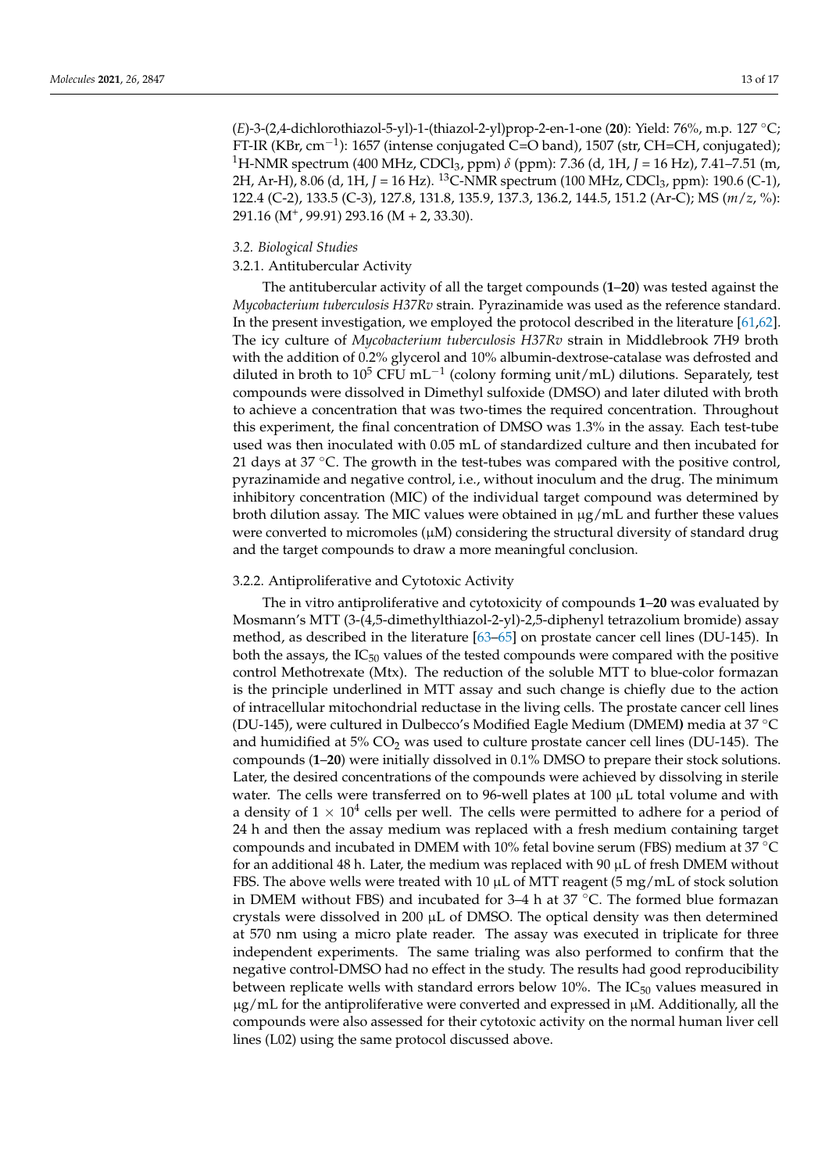(*E*)-3-(2,4-dichlorothiazol-5-yl)-1-(thiazol-2-yl)prop-2-en-1-one (**20**): Yield: 76%, m.p. 127 ◦C; FT-IR (KBr, cm−<sup>1</sup> ): 1657 (intense conjugated C=O band), 1507 (str, CH=CH, conjugated); <sup>1</sup>H-NMR spectrum (400 MHz, CDCl3, ppm) *δ* (ppm): 7.36 (d, 1H, *J* = 16 Hz), 7.41–7.51 (m, 2H, Ar-H), 8.06 (d, 1H, *J* = 16 Hz). <sup>13</sup>C-NMR spectrum (100 MHz, CDCl<sub>3</sub>, ppm): 190.6 (C-1), 122.4 (C-2), 133.5 (C-3), 127.8, 131.8, 135.9, 137.3, 136.2, 144.5, 151.2 (Ar-C); MS (*m*/*z*, %): 291.16 (M<sup>+</sup> , 99.91) 293.16 (M + 2, 33.30).

### *3.2. Biological Studies*

# 3.2.1. Antitubercular Activity

The antitubercular activity of all the target compounds (**1**–**20**) was tested against the *Mycobacterium tuberculosis H37Rv* strain. Pyrazinamide was used as the reference standard. In the present investigation, we employed the protocol described in the literature [61,62]. The icy culture of *Mycobacterium tuberculosis H37Rv* strain in Middlebrook 7H9 broth with the addition of 0.2% glycerol and 10% albumin-dextrose-catalase was defrosted and diluted in broth to 10<sup>5</sup> CFU mL<sup>-1</sup> (colony forming unit/mL) dilutions. Separately, test compounds were dissolved in Dimethyl sulfoxide (DMSO) and later diluted with broth to achieve a concentration that was two-times the required concentration. Throughout this experiment, the final concentration of DMSO was 1.3% in the assay. Each test-tube used was then inoculated with 0.05 mL of standardized culture and then incubated for 21 days at  $37 \,^{\circ}$ C. The growth in the test-tubes was compared with the positive control, pyrazinamide and negative control, i.e., without inoculum and the drug. The minimum inhibitory concentration (MIC) of the individual target compound was determined by broth dilution assay. The MIC values were obtained in  $\mu$ g/mL and further these values were converted to micromoles  $(\mu M)$  considering the structural diversity of standard drug and the target compounds to draw a more meaningful conclusion.

### 3.2.2. Antiproliferative and Cytotoxic Activity

The in vitro antiproliferative and cytotoxicity of compounds **1**–**20** was evaluated by Mosmann's MTT (3-(4,5-dimethylthiazol-2-yl)-2,5-diphenyl tetrazolium bromide) assay method, as described in the literature [63–65] on prostate cancer cell lines (DU-145). In both the assays, the  $IC_{50}$  values of the tested compounds were compared with the positive control Methotrexate (Mtx). The reduction of the soluble MTT to blue-color formazan is the principle underlined in MTT assay and such change is chiefly due to the action of intracellular mitochondrial reductase in the living cells. The prostate cancer cell lines (DU-145), were cultured in Dulbecco's Modified Eagle Medium (DMEM**)** media at 37 ◦C and humidified at  $5\%$  CO<sub>2</sub> was used to culture prostate cancer cell lines (DU-145). The compounds (**1**–**20**) were initially dissolved in 0.1% DMSO to prepare their stock solutions. Later, the desired concentrations of the compounds were achieved by dissolving in sterile water. The cells were transferred on to 96-well plates at 100  $\mu$ L total volume and with a density of  $1 \times 10^4$  cells per well. The cells were permitted to adhere for a period of 24 h and then the assay medium was replaced with a fresh medium containing target compounds and incubated in DMEM with 10% fetal bovine serum (FBS) medium at 37 ◦C for an additional 48 h. Later, the medium was replaced with 90  $\mu$ L of fresh DMEM without FBS. The above wells were treated with 10  $\mu$ L of MTT reagent (5 mg/mL of stock solution in DMEM without FBS) and incubated for  $3-4$  h at  $37 \degree$ C. The formed blue formazan crystals were dissolved in 200  $\mu$ L of DMSO. The optical density was then determined at 570 nm using a micro plate reader. The assay was executed in triplicate for three independent experiments. The same trialing was also performed to confirm that the negative control-DMSO had no effect in the study. The results had good reproducibility between replicate wells with standard errors below 10%. The  $IC_{50}$  values measured in  $\mu$ g/mL for the antiproliferative were converted and expressed in  $\mu$ M. Additionally, all the compounds were also assessed for their cytotoxic activity on the normal human liver cell lines (L02) using the same protocol discussed above.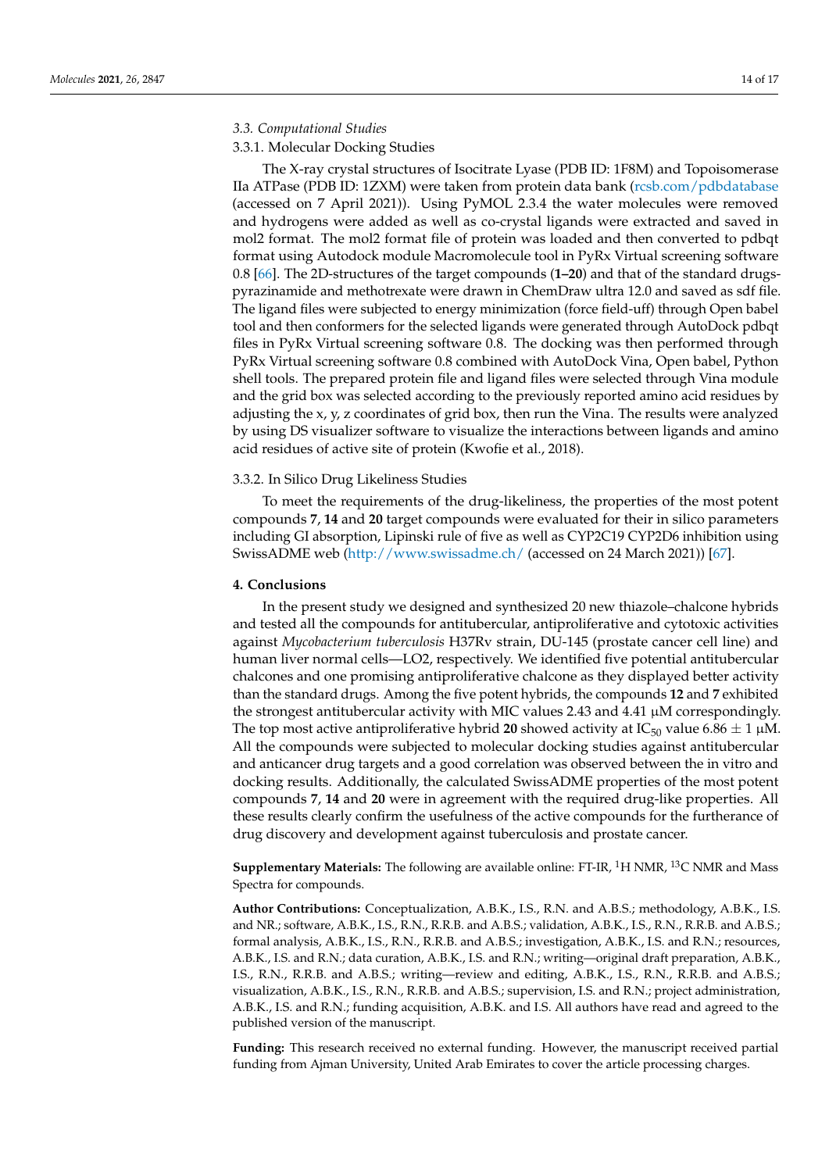### *3.3. Computational Studies*

### 3.3.1. Molecular Docking Studies

The X-ray crystal structures of Isocitrate Lyase (PDB ID: 1F8M) and Topoisomerase IIa ATPase (PDB ID: 1ZXM) were taken from protein data bank (rcsb.com/pdbdatabase (accessed on 7 April 2021)). Using PyMOL 2.3.4 the water molecules were removed and hydrogens were added as well as co-crystal ligands were extracted and saved in mol2 format. The mol2 format file of protein was loaded and then converted to pdbqt format using Autodock module Macromolecule tool in PyRx Virtual screening software 0.8 [66]. The 2D-structures of the target compounds (**1–20**) and that of the standard drugspyrazinamide and methotrexate were drawn in ChemDraw ultra 12.0 and saved as sdf file. The ligand files were subjected to energy minimization (force field-uff) through Open babel tool and then conformers for the selected ligands were generated through AutoDock pdbqt files in PyRx Virtual screening software 0.8. The docking was then performed through PyRx Virtual screening software 0.8 combined with AutoDock Vina, Open babel, Python shell tools. The prepared protein file and ligand files were selected through Vina module and the grid box was selected according to the previously reported amino acid residues by adjusting the x, y, z coordinates of grid box, then run the Vina. The results were analyzed by using DS visualizer software to visualize the interactions between ligands and amino acid residues of active site of protein (Kwofie et al., 2018).

### 3.3.2. In Silico Drug Likeliness Studies

To meet the requirements of the drug-likeliness, the properties of the most potent compounds **7**, **14** and **20** target compounds were evaluated for their in silico parameters including GI absorption, Lipinski rule of five as well as CYP2C19 CYP2D6 inhibition using SwissADME web (http://www.swissadme.ch/ (accessed on 24 March 2021)) [67].

### **4. Conclusions**

In the present study we designed and synthesized 20 new thiazole–chalcone hybrids and tested all the compounds for antitubercular, antiproliferative and cytotoxic activities against *Mycobacterium tuberculosis* H37Rv strain, DU-145 (prostate cancer cell line) and human liver normal cells—LO2, respectively. We identified five potential antitubercular chalcones and one promising antiproliferative chalcone as they displayed better activity than the standard drugs. Among the five potent hybrids, the compounds **12** and **7** exhibited the strongest antitubercular activity with MIC values 2.43 and 4.41  $\mu$ M correspondingly. The top most active antiproliferative hybrid 20 showed activity at IC<sub>50</sub> value 6.86  $\pm$  1  $\mu$ M. All the compounds were subjected to molecular docking studies against antitubercular and anticancer drug targets and a good correlation was observed between the in vitro and docking results. Additionally, the calculated SwissADME properties of the most potent compounds **7**, **14** and **20** were in agreement with the required drug-like properties. All these results clearly confirm the usefulness of the active compounds for the furtherance of drug discovery and development against tuberculosis and prostate cancer.

**Supplementary Materials:** The following are available online: FT-IR, <sup>1</sup>H NMR, <sup>13</sup>C NMR and Mass Spectra for compounds.

**Author Contributions:** Conceptualization, A.B.K., I.S., R.N. and A.B.S.; methodology, A.B.K., I.S. and NR.; software, A.B.K., I.S., R.N., R.R.B. and A.B.S.; validation, A.B.K., I.S., R.N., R.R.B. and A.B.S.; formal analysis, A.B.K., I.S., R.N., R.R.B. and A.B.S.; investigation, A.B.K., I.S. and R.N.; resources, A.B.K., I.S. and R.N.; data curation, A.B.K., I.S. and R.N.; writing—original draft preparation, A.B.K., I.S., R.N., R.R.B. and A.B.S.; writing—review and editing, A.B.K., I.S., R.N., R.R.B. and A.B.S.; visualization, A.B.K., I.S., R.N., R.R.B. and A.B.S.; supervision, I.S. and R.N.; project administration, A.B.K., I.S. and R.N.; funding acquisition, A.B.K. and I.S. All authors have read and agreed to the published version of the manuscript.

**Funding:** This research received no external funding. However, the manuscript received partial funding from Ajman University, United Arab Emirates to cover the article processing charges.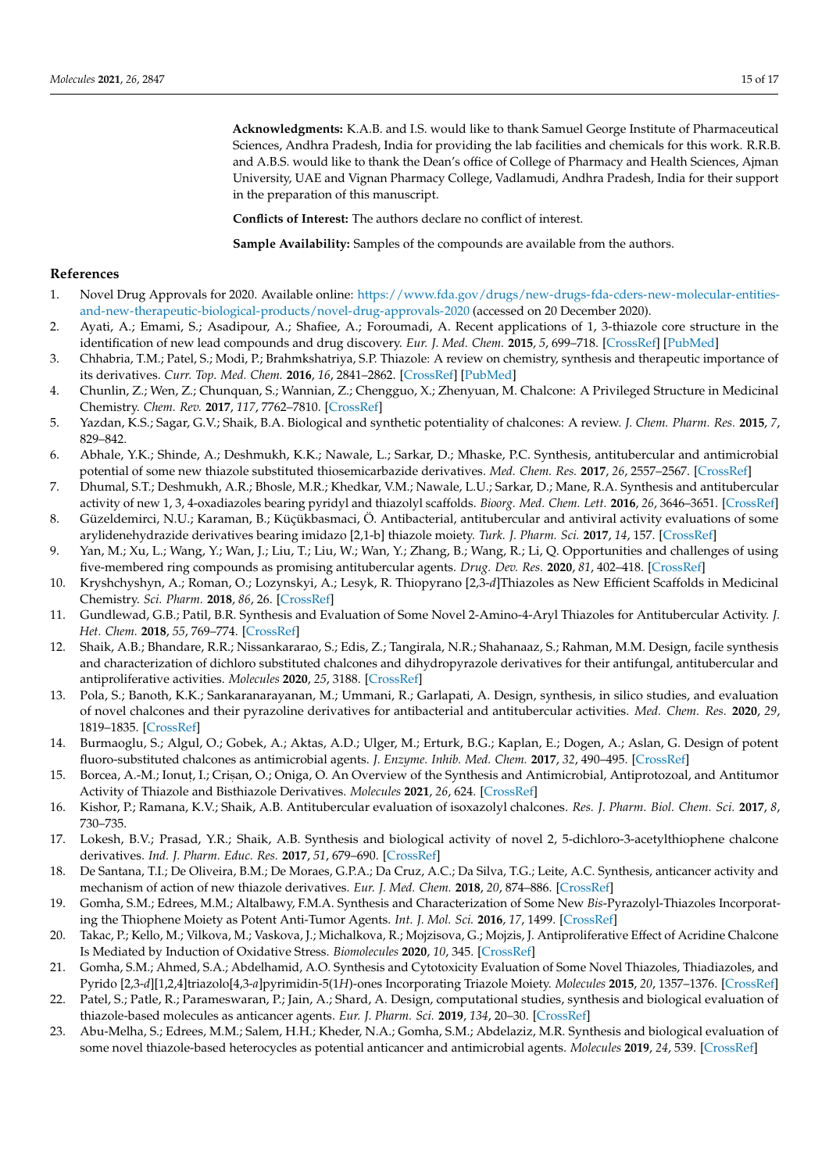**Acknowledgments:** K.A.B. and I.S. would like to thank Samuel George Institute of Pharmaceutical Sciences, Andhra Pradesh, India for providing the lab facilities and chemicals for this work. R.R.B. and A.B.S. would like to thank the Dean's office of College of Pharmacy and Health Sciences, Ajman University, UAE and Vignan Pharmacy College, Vadlamudi, Andhra Pradesh, India for their support in the preparation of this manuscript.

**Conflicts of Interest:** The authors declare no conflict of interest.

**Sample Availability:** Samples of the compounds are available from the authors.

# **References**

- 1. Novel Drug Approvals for 2020. Available online: https://www.fda.gov/drugs/new-drugs-fda-cders-new-molecular-entitiesand-new-therapeutic-biological-products/novel-drug-approvals-2020 (accessed on 20 December 2020).
- 2. Ayati, A.; Emami, S.; Asadipour, A.; Shafiee, A.; Foroumadi, A. Recent applications of 1, 3-thiazole core structure in the identification of new lead compounds and drug discovery. *Eur. J. Med. Chem.* **2015**, *5*, 699–718. [CrossRef] [PubMed]
- 3. Chhabria, T.M.; Patel, S.; Modi, P.; Brahmkshatriya, S.P. Thiazole: A review on chemistry, synthesis and therapeutic importance of its derivatives. *Curr. Top. Med. Chem.* **2016**, *16*, 2841–2862. [CrossRef] [PubMed]
- 4. Chunlin, Z.; Wen, Z.; Chunquan, S.; Wannian, Z.; Chengguo, X.; Zhenyuan, M. Chalcone: A Privileged Structure in Medicinal Chemistry. *Chem. Rev.* **2017**, *117*, 7762–7810. [CrossRef]
- 5. Yazdan, K.S.; Sagar, G.V.; Shaik, B.A. Biological and synthetic potentiality of chalcones: A review. *J. Chem. Pharm. Res.* **2015**, *7*, 829–842.
- 6. Abhale, Y.K.; Shinde, A.; Deshmukh, K.K.; Nawale, L.; Sarkar, D.; Mhaske, P.C. Synthesis, antitubercular and antimicrobial potential of some new thiazole substituted thiosemicarbazide derivatives. *Med. Chem. Res.* **2017**, *26*, 2557–2567. [CrossRef]
- 7. Dhumal, S.T.; Deshmukh, A.R.; Bhosle, M.R.; Khedkar, V.M.; Nawale, L.U.; Sarkar, D.; Mane, R.A. Synthesis and antitubercular activity of new 1, 3, 4-oxadiazoles bearing pyridyl and thiazolyl scaffolds. *Bioorg. Med. Chem. Lett.* **2016**, *26*, 3646–3651. [CrossRef]
- 8. Güzeldemirci, N.U.; Karaman, B.; Küçükbasmaci, Ö. Antibacterial, antitubercular and antiviral activity evaluations of some arylidenehydrazide derivatives bearing imidazo [2,1-b] thiazole moiety. *Turk. J. Pharm. Sci.* **2017**, *14*, 157. [CrossRef]
- 9. Yan, M.; Xu, L.; Wang, Y.; Wan, J.; Liu, T.; Liu, W.; Wan, Y.; Zhang, B.; Wang, R.; Li, Q. Opportunities and challenges of using five-membered ring compounds as promising antitubercular agents. *Drug. Dev. Res.* **2020**, *81*, 402–418. [CrossRef]
- 10. Kryshchyshyn, A.; Roman, O.; Lozynskyi, A.; Lesyk, R. Thiopyrano [2,3-*d*]Thiazoles as New Efficient Scaffolds in Medicinal Chemistry. *Sci. Pharm.* **2018**, *86*, 26. [CrossRef]
- 11. Gundlewad, G.B.; Patil, B.R. Synthesis and Evaluation of Some Novel 2-Amino-4-Aryl Thiazoles for Antitubercular Activity. *J. Het. Chem.* **2018**, *55*, 769–774. [CrossRef]
- 12. Shaik, A.B.; Bhandare, R.R.; Nissankararao, S.; Edis, Z.; Tangirala, N.R.; Shahanaaz, S.; Rahman, M.M. Design, facile synthesis and characterization of dichloro substituted chalcones and dihydropyrazole derivatives for their antifungal, antitubercular and antiproliferative activities. *Molecules* **2020**, *25*, 3188. [CrossRef]
- 13. Pola, S.; Banoth, K.K.; Sankaranarayanan, M.; Ummani, R.; Garlapati, A. Design, synthesis, in silico studies, and evaluation of novel chalcones and their pyrazoline derivatives for antibacterial and antitubercular activities. *Med. Chem. Res.* **2020**, *29*, 1819–1835. [CrossRef]
- 14. Burmaoglu, S.; Algul, O.; Gobek, A.; Aktas, A.D.; Ulger, M.; Erturk, B.G.; Kaplan, E.; Dogen, A.; Aslan, G. Design of potent fluoro-substituted chalcones as antimicrobial agents. *J. Enzyme. Inhib. Med. Chem.* **2017**, *32*, 490–495. [CrossRef]
- 15. Borcea, A.-M.; Ionuț, I.; Crișan, O.; Oniga, O. An Overview of the Synthesis and Antimicrobial, Antiprotozoal, and Antitumor Activity of Thiazole and Bisthiazole Derivatives. *Molecules* **2021**, *26*, 624. [CrossRef]
- 16. Kishor, P.; Ramana, K.V.; Shaik, A.B. Antitubercular evaluation of isoxazolyl chalcones. *Res. J. Pharm. Biol. Chem. Sci.* **2017**, *8*, 730–735.
- 17. Lokesh, B.V.; Prasad, Y.R.; Shaik, A.B. Synthesis and biological activity of novel 2, 5-dichloro-3-acetylthiophene chalcone derivatives. *Ind. J. Pharm. Educ. Res.* **2017**, *51*, 679–690. [CrossRef]
- 18. De Santana, T.I.; De Oliveira, B.M.; De Moraes, G.P.A.; Da Cruz, A.C.; Da Silva, T.G.; Leite, A.C. Synthesis, anticancer activity and mechanism of action of new thiazole derivatives. *Eur. J. Med. Chem.* **2018**, *20*, 874–886. [CrossRef]
- 19. Gomha, S.M.; Edrees, M.M.; Altalbawy, F.M.A. Synthesis and Characterization of Some New *Bis*-Pyrazolyl-Thiazoles Incorporating the Thiophene Moiety as Potent Anti-Tumor Agents. *Int. J. Mol. Sci.* **2016**, *17*, 1499. [CrossRef]
- 20. Takac, P.; Kello, M.; Vilkova, M.; Vaskova, J.; Michalkova, R.; Mojzisova, G.; Mojzis, J. Antiproliferative Effect of Acridine Chalcone Is Mediated by Induction of Oxidative Stress. *Biomolecules* **2020**, *10*, 345. [CrossRef]
- 21. Gomha, S.M.; Ahmed, S.A.; Abdelhamid, A.O. Synthesis and Cytotoxicity Evaluation of Some Novel Thiazoles, Thiadiazoles, and Pyrido [2,3-*d*][1,2,4]triazolo[4,3-*a*]pyrimidin-5(1*H*)-ones Incorporating Triazole Moiety. *Molecules* **2015**, *20*, 1357–1376. [CrossRef]
- 22. Patel, S.; Patle, R.; Parameswaran, P.; Jain, A.; Shard, A. Design, computational studies, synthesis and biological evaluation of thiazole-based molecules as anticancer agents. *Eur. J. Pharm. Sci.* **2019**, *134*, 20–30. [CrossRef]
- 23. Abu-Melha, S.; Edrees, M.M.; Salem, H.H.; Kheder, N.A.; Gomha, S.M.; Abdelaziz, M.R. Synthesis and biological evaluation of some novel thiazole-based heterocycles as potential anticancer and antimicrobial agents. *Molecules* **2019**, *24*, 539. [CrossRef]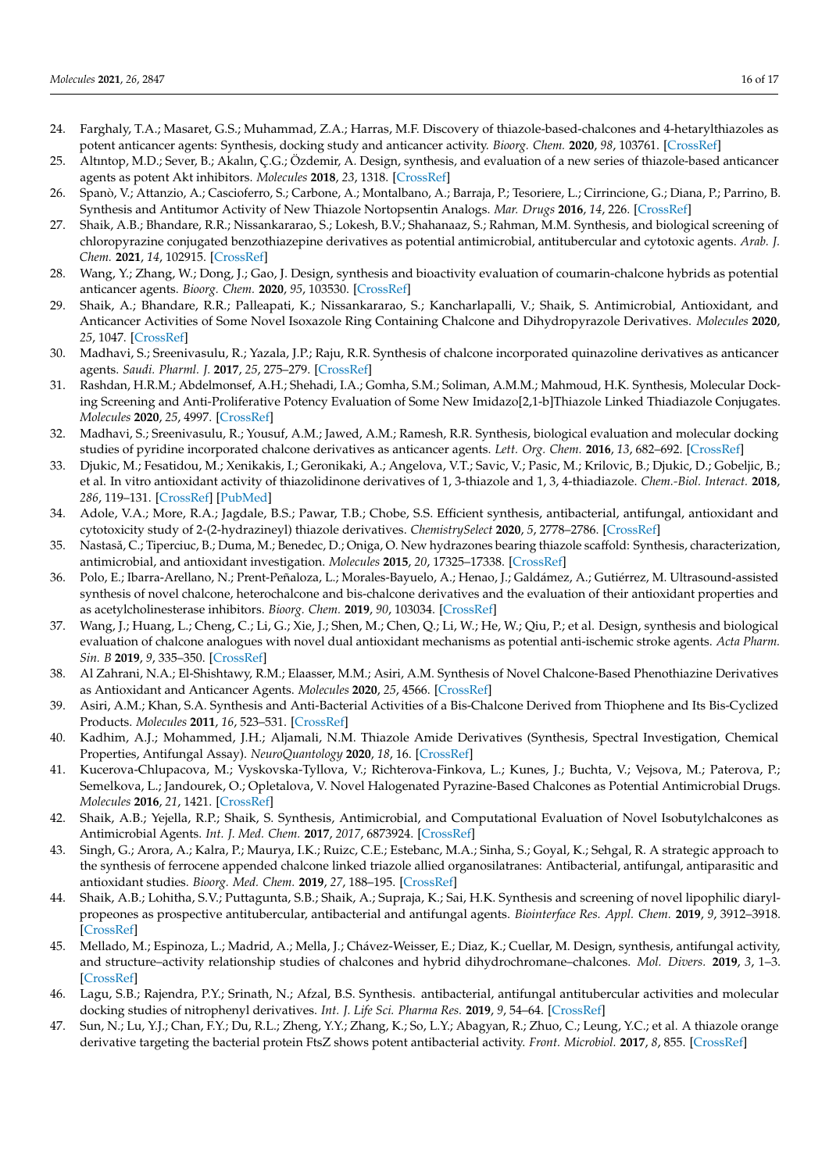- 24. Farghaly, T.A.; Masaret, G.S.; Muhammad, Z.A.; Harras, M.F. Discovery of thiazole-based-chalcones and 4-hetarylthiazoles as potent anticancer agents: Synthesis, docking study and anticancer activity. *Bioorg. Chem.* **2020**, *98*, 103761. [CrossRef]
- 25. Altıntop, M.D.; Sever, B.; Akalın, Ç.G.; Özdemir, A. Design, synthesis, and evaluation of a new series of thiazole-based anticancer agents as potent Akt inhibitors. *Molecules* **2018**, *23*, 1318. [CrossRef]
- 26. Spanò, V.; Attanzio, A.; Cascioferro, S.; Carbone, A.; Montalbano, A.; Barraja, P.; Tesoriere, L.; Cirrincione, G.; Diana, P.; Parrino, B. Synthesis and Antitumor Activity of New Thiazole Nortopsentin Analogs. *Mar. Drugs* **2016**, *14*, 226. [CrossRef]
- 27. Shaik, A.B.; Bhandare, R.R.; Nissankararao, S.; Lokesh, B.V.; Shahanaaz, S.; Rahman, M.M. Synthesis, and biological screening of chloropyrazine conjugated benzothiazepine derivatives as potential antimicrobial, antitubercular and cytotoxic agents. *Arab. J. Chem.* **2021**, *14*, 102915. [CrossRef]
- 28. Wang, Y.; Zhang, W.; Dong, J.; Gao, J. Design, synthesis and bioactivity evaluation of coumarin-chalcone hybrids as potential anticancer agents. *Bioorg. Chem.* **2020**, *95*, 103530. [CrossRef]
- 29. Shaik, A.; Bhandare, R.R.; Palleapati, K.; Nissankararao, S.; Kancharlapalli, V.; Shaik, S. Antimicrobial, Antioxidant, and Anticancer Activities of Some Novel Isoxazole Ring Containing Chalcone and Dihydropyrazole Derivatives. *Molecules* **2020**, *25*, 1047. [CrossRef]
- 30. Madhavi, S.; Sreenivasulu, R.; Yazala, J.P.; Raju, R.R. Synthesis of chalcone incorporated quinazoline derivatives as anticancer agents. *Saudi. Pharml. J.* **2017**, *25*, 275–279. [CrossRef]
- 31. Rashdan, H.R.M.; Abdelmonsef, A.H.; Shehadi, I.A.; Gomha, S.M.; Soliman, A.M.M.; Mahmoud, H.K. Synthesis, Molecular Docking Screening and Anti-Proliferative Potency Evaluation of Some New Imidazo[2,1-b]Thiazole Linked Thiadiazole Conjugates. *Molecules* **2020**, *25*, 4997. [CrossRef]
- 32. Madhavi, S.; Sreenivasulu, R.; Yousuf, A.M.; Jawed, A.M.; Ramesh, R.R. Synthesis, biological evaluation and molecular docking studies of pyridine incorporated chalcone derivatives as anticancer agents. *Lett. Org. Chem.* **2016**, *13*, 682–692. [CrossRef]
- 33. Djukic, M.; Fesatidou, M.; Xenikakis, I.; Geronikaki, A.; Angelova, V.T.; Savic, V.; Pasic, M.; Krilovic, B.; Djukic, D.; Gobeljic, B.; et al. In vitro antioxidant activity of thiazolidinone derivatives of 1, 3-thiazole and 1, 3, 4-thiadiazole. *Chem.-Biol. Interact.* **2018**, *286*, 119–131. [CrossRef] [PubMed]
- 34. Adole, V.A.; More, R.A.; Jagdale, B.S.; Pawar, T.B.; Chobe, S.S. Efficient synthesis, antibacterial, antifungal, antioxidant and cytotoxicity study of 2-(2-hydrazineyl) thiazole derivatives. *ChemistrySelect* **2020**, *5*, 2778–2786. [CrossRef]
- 35. Nastasă, C.; Tiperciuc, B.; Duma, M.; Benedec, D.; Oniga, O. New hydrazones bearing thiazole scaffold: Synthesis, characterization, antimicrobial, and antioxidant investigation. *Molecules* **2015**, *20*, 17325–17338. [CrossRef]
- 36. Polo, E.; Ibarra-Arellano, N.; Prent-Peñaloza, L.; Morales-Bayuelo, A.; Henao, J.; Galdámez, A.; Gutiérrez, M. Ultrasound-assisted synthesis of novel chalcone, heterochalcone and bis-chalcone derivatives and the evaluation of their antioxidant properties and as acetylcholinesterase inhibitors. *Bioorg. Chem.* **2019**, *90*, 103034. [CrossRef]
- 37. Wang, J.; Huang, L.; Cheng, C.; Li, G.; Xie, J.; Shen, M.; Chen, Q.; Li, W.; He, W.; Qiu, P.; et al. Design, synthesis and biological evaluation of chalcone analogues with novel dual antioxidant mechanisms as potential anti-ischemic stroke agents. *Acta Pharm. Sin. B* **2019**, *9*, 335–350. [CrossRef]
- 38. Al Zahrani, N.A.; El-Shishtawy, R.M.; Elaasser, M.M.; Asiri, A.M. Synthesis of Novel Chalcone-Based Phenothiazine Derivatives as Antioxidant and Anticancer Agents. *Molecules* **2020**, *25*, 4566. [CrossRef]
- 39. Asiri, A.M.; Khan, S.A. Synthesis and Anti-Bacterial Activities of a Bis-Chalcone Derived from Thiophene and Its Bis-Cyclized Products. *Molecules* **2011**, *16*, 523–531. [CrossRef]
- 40. Kadhim, A.J.; Mohammed, J.H.; Aljamali, N.M. Thiazole Amide Derivatives (Synthesis, Spectral Investigation, Chemical Properties, Antifungal Assay). *NeuroQuantology* **2020**, *18*, 16. [CrossRef]
- 41. Kucerova-Chlupacova, M.; Vyskovska-Tyllova, V.; Richterova-Finkova, L.; Kunes, J.; Buchta, V.; Vejsova, M.; Paterova, P.; Semelkova, L.; Jandourek, O.; Opletalova, V. Novel Halogenated Pyrazine-Based Chalcones as Potential Antimicrobial Drugs. *Molecules* **2016**, *21*, 1421. [CrossRef]
- 42. Shaik, A.B.; Yejella, R.P.; Shaik, S. Synthesis, Antimicrobial, and Computational Evaluation of Novel Isobutylchalcones as Antimicrobial Agents. *Int. J. Med. Chem.* **2017**, *2017*, 6873924. [CrossRef]
- 43. Singh, G.; Arora, A.; Kalra, P.; Maurya, I.K.; Ruizc, C.E.; Estebanc, M.A.; Sinha, S.; Goyal, K.; Sehgal, R. A strategic approach to the synthesis of ferrocene appended chalcone linked triazole allied organosilatranes: Antibacterial, antifungal, antiparasitic and antioxidant studies. *Bioorg. Med. Chem.* **2019**, *27*, 188–195. [CrossRef]
- 44. Shaik, A.B.; Lohitha, S.V.; Puttagunta, S.B.; Shaik, A.; Supraja, K.; Sai, H.K. Synthesis and screening of novel lipophilic diarylpropeones as prospective antitubercular, antibacterial and antifungal agents. *Biointerface Res. Appl. Chem.* **2019**, *9*, 3912–3918. [CrossRef]
- 45. Mellado, M.; Espinoza, L.; Madrid, A.; Mella, J.; Chávez-Weisser, E.; Diaz, K.; Cuellar, M. Design, synthesis, antifungal activity, and structure–activity relationship studies of chalcones and hybrid dihydrochromane–chalcones. *Mol. Divers.* **2019**, *3*, 1–3. [CrossRef]
- 46. Lagu, S.B.; Rajendra, P.Y.; Srinath, N.; Afzal, B.S. Synthesis. antibacterial, antifungal antitubercular activities and molecular docking studies of nitrophenyl derivatives. *Int. J. Life Sci. Pharma Res.* **2019**, *9*, 54–64. [CrossRef]
- 47. Sun, N.; Lu, Y.J.; Chan, F.Y.; Du, R.L.; Zheng, Y.Y.; Zhang, K.; So, L.Y.; Abagyan, R.; Zhuo, C.; Leung, Y.C.; et al. A thiazole orange derivative targeting the bacterial protein FtsZ shows potent antibacterial activity. *Front. Microbiol.* **2017**, *8*, 855. [CrossRef]